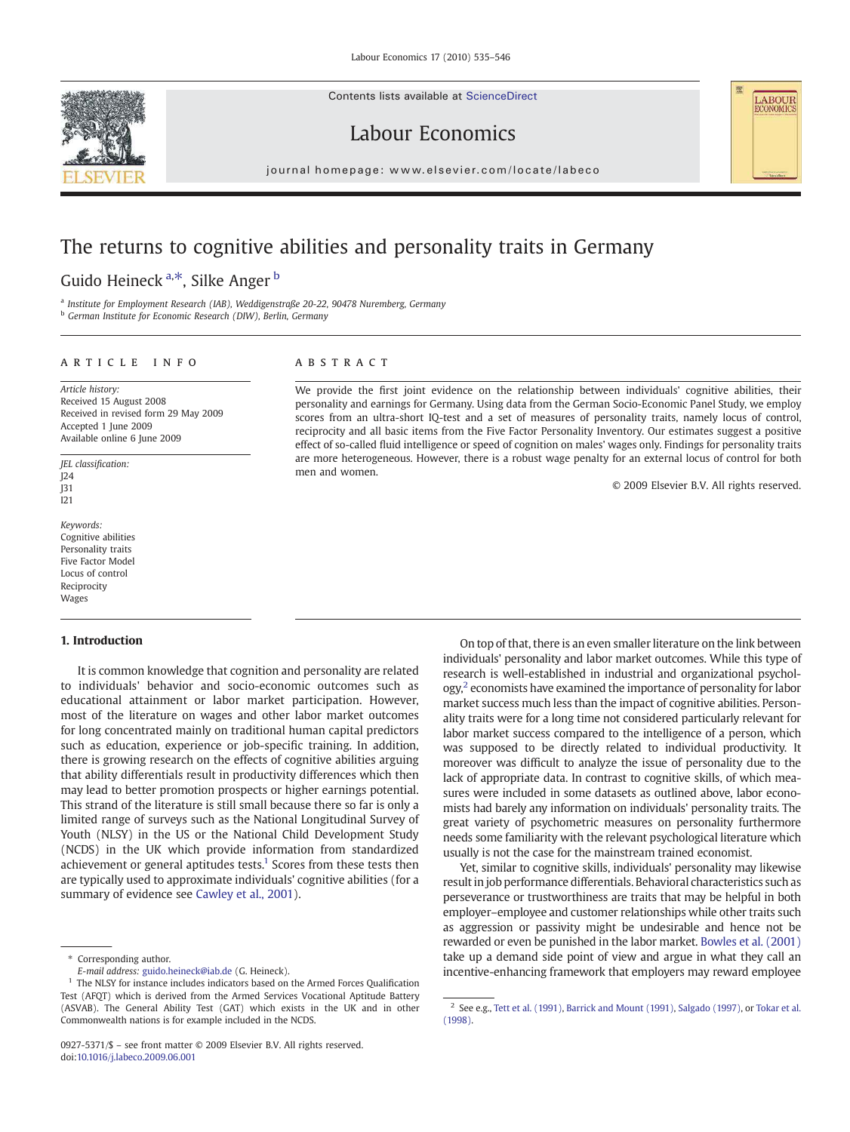Contents lists available at [ScienceDirect](http://www.sciencedirect.com/science/journal/09275371)





# Labour Economics

journal homepage: www.elsevier.com/locate/labeco

# The returns to cognitive abilities and personality traits in Germany

Guido Heineck  $a, *$ , Silke Anger b

a *Institute for Employment Research (IAB), Weddigenstraße 20-22, 90478 Nuremberg, Germany* <sup>b</sup> *German Institute for Economic Research (DIW), Berlin, Germany*

# article info abstract

*Article history:* Received 15 August 2008 Received in revised form 29 May 2009 Accepted 1 June 2009 Available online 6 June 2009

*JEL classi*fi*cation:* J24 T31 I21

*Keywords:* Cognitive abilities Personality traits Five Factor Model Locus of control Reciprocity Wages

# 1. Introduction

It is common knowledge that cognition and personality are related to individuals' behavior and socio-economic outcomes such as educational attainment or labor market participation. However, most of the literature on wages and other labor market outcomes for long concentrated mainly on traditional human capital predictors such as education, experience or job-specific training. In addition, there is growing research on the effects of cognitive abilities arguing that ability differentials result in productivity differences which then may lead to better promotion prospects or higher earnings potential. This strand of the literature is still small because there so far is only a limited range of surveys such as the National Longitudinal Survey of Youth (NLSY) in the US or the National Child Development Study (NCDS) in the UK which provide information from standardized achievement or general aptitudes tests. $^1$  Scores from these tests then are typically used to approximate individuals' cognitive abilities (for a summary of evidence see [Cawley et al., 2001\)](#page-10-0).

We provide the first joint evidence on the relationship between individuals' cognitive abilities, their personality and earnings for Germany. Using data from the German Socio-Economic Panel Study, we employ scores from an ultra-short IQ-test and a set of measures of personality traits, namely locus of control, reciprocity and all basic items from the Five Factor Personality Inventory. Our estimates suggest a positive effect of so-called fluid intelligence or speed of cognition on males' wages only. Findings for personality traits are more heterogeneous. However, there is a robust wage penalty for an external locus of control for both men and women.

© 2009 Elsevier B.V. All rights reserved.

On top of that, there is an even smaller literature on the link between individuals' personality and labor market outcomes. While this type of research is well-established in industrial and organizational psychology,<sup>2</sup> economists have examined the importance of personality for labor market success much less than the impact of cognitive abilities. Personality traits were for a long time not considered particularly relevant for labor market success compared to the intelligence of a person, which was supposed to be directly related to individual productivity. It moreover was difficult to analyze the issue of personality due to the lack of appropriate data. In contrast to cognitive skills, of which measures were included in some datasets as outlined above, labor economists had barely any information on individuals' personality traits. The great variety of psychometric measures on personality furthermore needs some familiarity with the relevant psychological literature which usually is not the case for the mainstream trained economist.

Yet, similar to cognitive skills, individuals' personality may likewise result in job performance differentials. Behavioral characteristics such as perseverance or trustworthiness are traits that may be helpful in both employer–employee and customer relationships while other traits such as aggression or passivity might be undesirable and hence not be rewarded or even be punished in the labor market. [Bowles et al. \(2001\)](#page-10-0) take up a demand side point of view and argue in what they call an incentive-enhancing framework that employers may reward employee

Corresponding author.

*E-mail address:* [guido.heineck@iab.de](mailto:guido.heineck@iab.de) (G. Heineck).

<sup>&</sup>lt;sup>1</sup> The NLSY for instance includes indicators based on the Armed Forces Qualification Test (AFQT) which is derived from the Armed Services Vocational Aptitude Battery (ASVAB). The General Ability Test (GAT) which exists in the UK and in other Commonwealth nations is for example included in the NCDS.

<sup>0927-5371/\$</sup> – see front matter © 2009 Elsevier B.V. All rights reserved. doi:[10.1016/j.labeco.2009.06.001](http://dx.doi.org/10.1016/j.labeco.2009.06.001)

<sup>2</sup> See e.g., [Tett et al. \(1991\)](#page-11-0), [Barrick and Mount \(1991\)](#page-10-0), [Salgado \(1997\)](#page-11-0), or [Tokar et al.](#page-11-0) [\(1998\)](#page-11-0).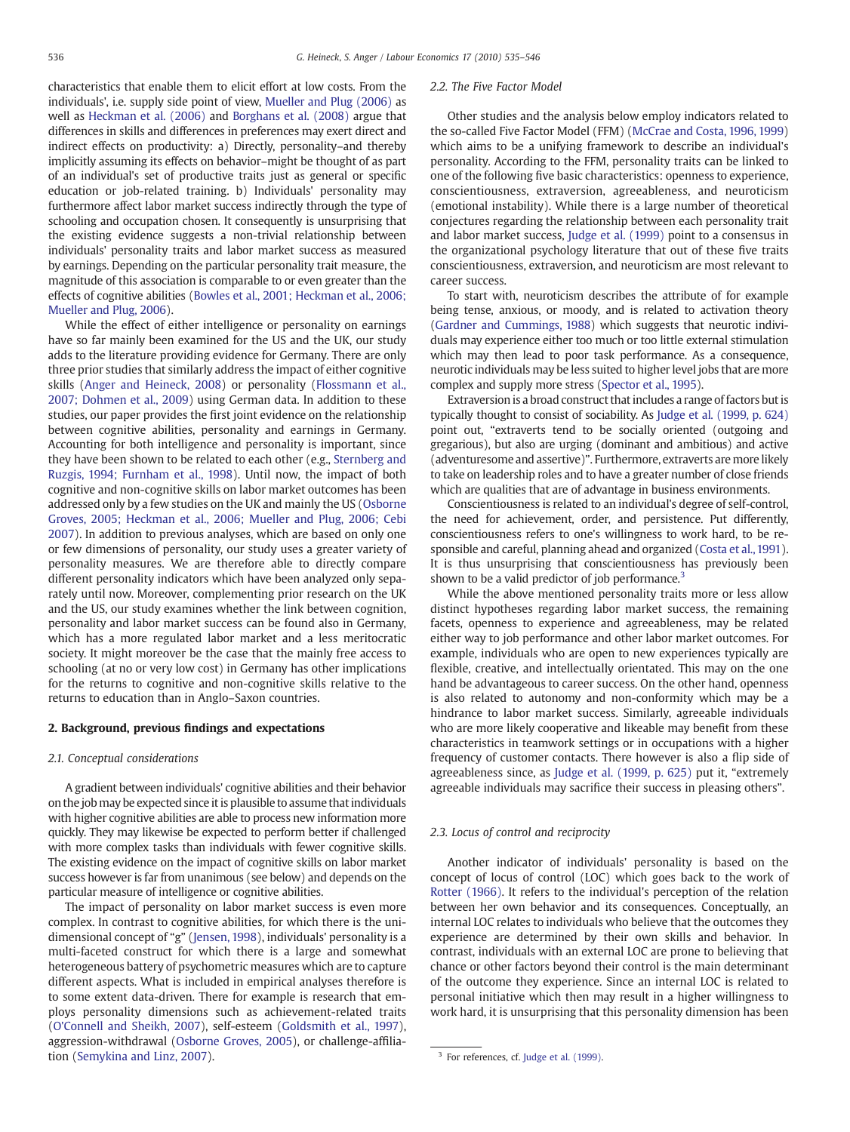characteristics that enable them to elicit effort at low costs. From the individuals', i.e. supply side point of view, [Mueller and Plug \(2006\)](#page-10-0) as well as [Heckman et al. \(2006\)](#page-10-0) and [Borghans et al. \(2008\)](#page-10-0) argue that differences in skills and differences in preferences may exert direct and indirect effects on productivity: a) Directly, personality–and thereby implicitly assuming its effects on behavior–might be thought of as part of an individual's set of productive traits just as general or specific education or job-related training. b) Individuals' personality may furthermore affect labor market success indirectly through the type of schooling and occupation chosen. It consequently is unsurprising that the existing evidence suggests a non-trivial relationship between individuals' personality traits and labor market success as measured by earnings. Depending on the particular personality trait measure, the magnitude of this association is comparable to or even greater than the effects of cognitive abilities ([Bowles et al., 2001; Heckman et al., 2006;](#page-10-0) [Mueller and Plug, 2006](#page-10-0)).

While the effect of either intelligence or personality on earnings have so far mainly been examined for the US and the UK, our study adds to the literature providing evidence for Germany. There are only three prior studies that similarly address the impact of either cognitive skills [\(Anger and Heineck, 2008](#page-10-0)) or personality ([Flossmann et al.,](#page-10-0) [2007; Dohmen et al., 2009](#page-10-0)) using German data. In addition to these studies, our paper provides the first joint evidence on the relationship between cognitive abilities, personality and earnings in Germany. Accounting for both intelligence and personality is important, since they have been shown to be related to each other (e.g., [Sternberg and](#page-11-0) [Ruzgis, 1994; Furnham et al., 1998](#page-11-0)). Until now, the impact of both cognitive and non-cognitive skills on labor market outcomes has been addressed only by a few studies on the UK and mainly the US [\(Osborne](#page-10-0) [Groves, 2005; Heckman et al., 2006; Mueller and Plug, 2006; Cebi](#page-10-0) [2007](#page-10-0)). In addition to previous analyses, which are based on only one or few dimensions of personality, our study uses a greater variety of personality measures. We are therefore able to directly compare different personality indicators which have been analyzed only separately until now. Moreover, complementing prior research on the UK and the US, our study examines whether the link between cognition, personality and labor market success can be found also in Germany, which has a more regulated labor market and a less meritocratic society. It might moreover be the case that the mainly free access to schooling (at no or very low cost) in Germany has other implications for the returns to cognitive and non-cognitive skills relative to the returns to education than in Anglo–Saxon countries.

# 2. Background, previous findings and expectations

### *2.1. Conceptual considerations*

A gradient between individuals' cognitive abilities and their behavior on the job may be expected since it is plausible to assume that individuals with higher cognitive abilities are able to process new information more quickly. They may likewise be expected to perform better if challenged with more complex tasks than individuals with fewer cognitive skills. The existing evidence on the impact of cognitive skills on labor market success however is far from unanimous (see below) and depends on the particular measure of intelligence or cognitive abilities.

The impact of personality on labor market success is even more complex. In contrast to cognitive abilities, for which there is the unidimensional concept of "g" [\(Jensen, 1998](#page-10-0)), individuals' personality is a multi-faceted construct for which there is a large and somewhat heterogeneous battery of psychometric measures which are to capture different aspects. What is included in empirical analyses therefore is to some extent data-driven. There for example is research that employs personality dimensions such as achievement-related traits [\(O'Connell and Sheikh, 2007\)](#page-10-0), self-esteem ([Goldsmith et al., 1997](#page-10-0)), aggression-withdrawal [\(Osborne Groves, 2005\)](#page-10-0), or challenge-affiliation [\(Semykina and Linz, 2007](#page-11-0)).

## *2.2. The Five Factor Model*

Other studies and the analysis below employ indicators related to the so-called Five Factor Model (FFM) [\(McCrae and Costa, 1996, 1999](#page-10-0)) which aims to be a unifying framework to describe an individual's personality. According to the FFM, personality traits can be linked to one of the following five basic characteristics: openness to experience, conscientiousness, extraversion, agreeableness, and neuroticism (emotional instability). While there is a large number of theoretical conjectures regarding the relationship between each personality trait and labor market success, [Judge et al. \(1999\)](#page-10-0) point to a consensus in the organizational psychology literature that out of these five traits conscientiousness, extraversion, and neuroticism are most relevant to career success.

To start with, neuroticism describes the attribute of for example being tense, anxious, or moody, and is related to activation theory [\(Gardner and Cummings, 1988\)](#page-10-0) which suggests that neurotic individuals may experience either too much or too little external stimulation which may then lead to poor task performance. As a consequence, neurotic individuals may be less suited to higher level jobs that are more complex and supply more stress [\(Spector et al., 1995](#page-11-0)).

Extraversion is a broad construct that includes a range of factors but is typically thought to consist of sociability. As [Judge et al. \(1999, p. 624\)](#page-10-0) point out, "extraverts tend to be socially oriented (outgoing and gregarious), but also are urging (dominant and ambitious) and active (adventuresome and assertive)". Furthermore, extraverts are more likely to take on leadership roles and to have a greater number of close friends which are qualities that are of advantage in business environments.

Conscientiousness is related to an individual's degree of self-control, the need for achievement, order, and persistence. Put differently, conscientiousness refers to one's willingness to work hard, to be responsible and careful, planning ahead and organized [\(Costa et al.,1991\)](#page-10-0). It is thus unsurprising that conscientiousness has previously been shown to be a valid predictor of job performance.<sup>3</sup>

While the above mentioned personality traits more or less allow distinct hypotheses regarding labor market success, the remaining facets, openness to experience and agreeableness, may be related either way to job performance and other labor market outcomes. For example, individuals who are open to new experiences typically are flexible, creative, and intellectually orientated. This may on the one hand be advantageous to career success. On the other hand, openness is also related to autonomy and non-conformity which may be a hindrance to labor market success. Similarly, agreeable individuals who are more likely cooperative and likeable may benefit from these characteristics in teamwork settings or in occupations with a higher frequency of customer contacts. There however is also a flip side of agreeableness since, as [Judge et al. \(1999, p. 625\)](#page-10-0) put it, "extremely agreeable individuals may sacrifice their success in pleasing others".

# *2.3. Locus of control and reciprocity*

Another indicator of individuals' personality is based on the concept of locus of control (LOC) which goes back to the work of [Rotter \(1966\).](#page-11-0) It refers to the individual's perception of the relation between her own behavior and its consequences. Conceptually, an internal LOC relates to individuals who believe that the outcomes they experience are determined by their own skills and behavior. In contrast, individuals with an external LOC are prone to believing that chance or other factors beyond their control is the main determinant of the outcome they experience. Since an internal LOC is related to personal initiative which then may result in a higher willingness to work hard, it is unsurprising that this personality dimension has been

<sup>&</sup>lt;sup>3</sup> For references, cf. [Judge et al. \(1999\).](#page-10-0)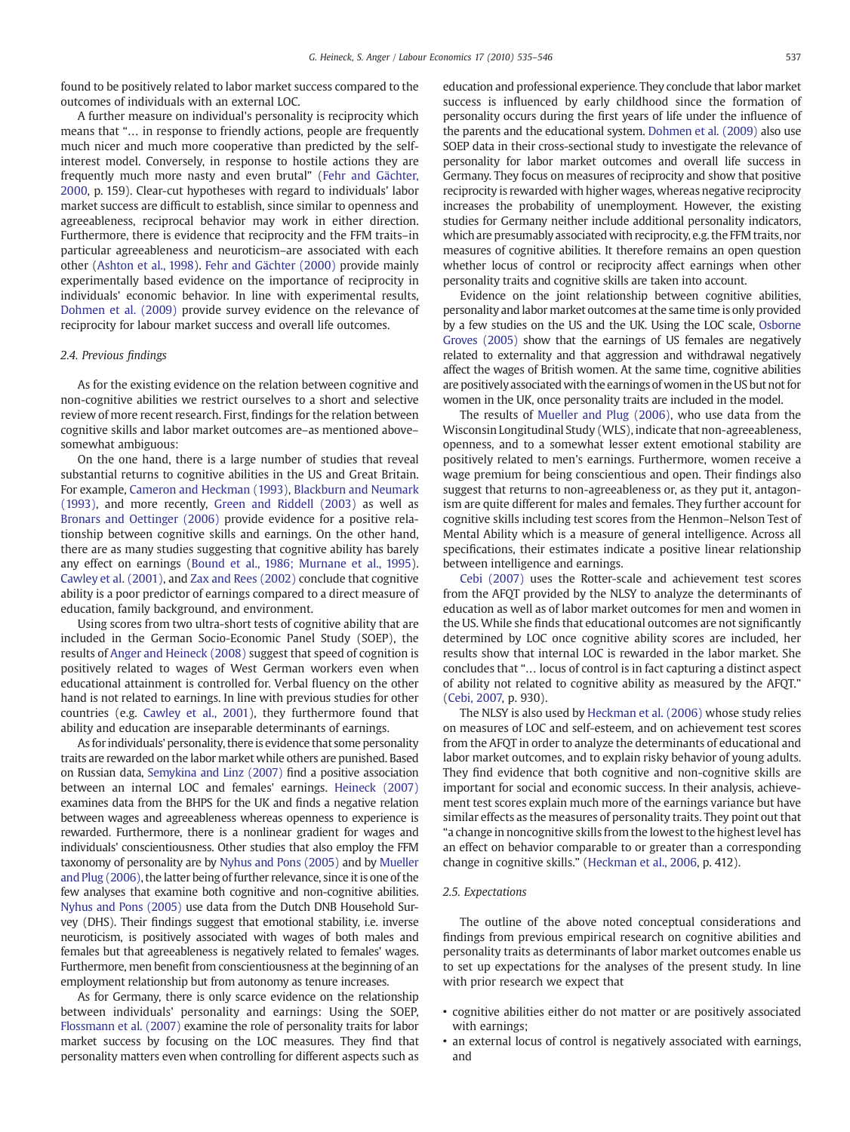found to be positively related to labor market success compared to the outcomes of individuals with an external LOC.

A further measure on individual's personality is reciprocity which means that "… in response to friendly actions, people are frequently much nicer and much more cooperative than predicted by the selfinterest model. Conversely, in response to hostile actions they are frequently much more nasty and even brutal" [\(Fehr and Gächter,](#page-10-0) [2000](#page-10-0), p. 159). Clear-cut hypotheses with regard to individuals' labor market success are difficult to establish, since similar to openness and agreeableness, reciprocal behavior may work in either direction. Furthermore, there is evidence that reciprocity and the FFM traits–in particular agreeableness and neuroticism–are associated with each other [\(Ashton et al., 1998\)](#page-10-0). [Fehr and Gächter \(2000\)](#page-10-0) provide mainly experimentally based evidence on the importance of reciprocity in individuals' economic behavior. In line with experimental results, [Dohmen et al. \(2009\)](#page-10-0) provide survey evidence on the relevance of reciprocity for labour market success and overall life outcomes.

# *2.4. Previous* fi*ndings*

As for the existing evidence on the relation between cognitive and non-cognitive abilities we restrict ourselves to a short and selective review of more recent research. First, findings for the relation between cognitive skills and labor market outcomes are–as mentioned above– somewhat ambiguous:

On the one hand, there is a large number of studies that reveal substantial returns to cognitive abilities in the US and Great Britain. For example, [Cameron and Heckman \(1993\)](#page-10-0), [Blackburn and Neumark](#page-10-0) [\(1993\)](#page-10-0), and more recently, [Green and Riddell \(2003\)](#page-10-0) as well as [Bronars and Oettinger \(2006\)](#page-10-0) provide evidence for a positive relationship between cognitive skills and earnings. On the other hand, there are as many studies suggesting that cognitive ability has barely any effect on earnings [\(Bound et al., 1986; Murnane et al., 1995](#page-10-0)). [Cawley et al. \(2001\)](#page-10-0), and [Zax and Rees \(2002\)](#page-11-0) conclude that cognitive ability is a poor predictor of earnings compared to a direct measure of education, family background, and environment.

Using scores from two ultra-short tests of cognitive ability that are included in the German Socio-Economic Panel Study (SOEP), the results of [Anger and Heineck \(2008\)](#page-10-0) suggest that speed of cognition is positively related to wages of West German workers even when educational attainment is controlled for. Verbal fluency on the other hand is not related to earnings. In line with previous studies for other countries (e.g. [Cawley et al., 2001\)](#page-10-0), they furthermore found that ability and education are inseparable determinants of earnings.

As for individuals' personality, there is evidence that some personality traits are rewarded on the labor market while others are punished. Based on Russian data, [Semykina and Linz \(2007\)](#page-11-0) find a positive association between an internal LOC and females' earnings. [Heineck \(2007\)](#page-10-0) examines data from the BHPS for the UK and finds a negative relation between wages and agreeableness whereas openness to experience is rewarded. Furthermore, there is a nonlinear gradient for wages and individuals' conscientiousness. Other studies that also employ the FFM taxonomy of personality are by [Nyhus and Pons \(2005\)](#page-10-0) and by [Mueller](#page-10-0) [and Plug \(2006\),](#page-10-0) the latter being of further relevance, since it is one of the few analyses that examine both cognitive and non-cognitive abilities. [Nyhus and Pons \(2005\)](#page-10-0) use data from the Dutch DNB Household Survey (DHS). Their findings suggest that emotional stability, i.e. inverse neuroticism, is positively associated with wages of both males and females but that agreeableness is negatively related to females' wages. Furthermore, men benefit from conscientiousness at the beginning of an employment relationship but from autonomy as tenure increases.

As for Germany, there is only scarce evidence on the relationship between individuals' personality and earnings: Using the SOEP, [Flossmann et al. \(2007\)](#page-10-0) examine the role of personality traits for labor market success by focusing on the LOC measures. They find that personality matters even when controlling for different aspects such as education and professional experience. They conclude that labor market success is influenced by early childhood since the formation of personality occurs during the first years of life under the influence of the parents and the educational system. [Dohmen et al. \(2009\)](#page-10-0) also use SOEP data in their cross-sectional study to investigate the relevance of personality for labor market outcomes and overall life success in Germany. They focus on measures of reciprocity and show that positive reciprocity is rewarded with higher wages, whereas negative reciprocity increases the probability of unemployment. However, the existing studies for Germany neither include additional personality indicators, which are presumably associated with reciprocity, e.g. the FFM traits, nor measures of cognitive abilities. It therefore remains an open question whether locus of control or reciprocity affect earnings when other personality traits and cognitive skills are taken into account.

Evidence on the joint relationship between cognitive abilities, personality and labor market outcomes at the same time is only provided by a few studies on the US and the UK. Using the LOC scale, [Osborne](#page-10-0) [Groves \(2005\)](#page-10-0) show that the earnings of US females are negatively related to externality and that aggression and withdrawal negatively affect the wages of British women. At the same time, cognitive abilities are positively associated with the earnings of women in the US but not for women in the UK, once personality traits are included in the model.

The results of [Mueller and Plug \(2006\),](#page-10-0) who use data from the Wisconsin Longitudinal Study (WLS), indicate that non-agreeableness, openness, and to a somewhat lesser extent emotional stability are positively related to men's earnings. Furthermore, women receive a wage premium for being conscientious and open. Their findings also suggest that returns to non-agreeableness or, as they put it, antagonism are quite different for males and females. They further account for cognitive skills including test scores from the Henmon–Nelson Test of Mental Ability which is a measure of general intelligence. Across all specifications, their estimates indicate a positive linear relationship between intelligence and earnings.

[Cebi \(2007\)](#page-10-0) uses the Rotter-scale and achievement test scores from the AFQT provided by the NLSY to analyze the determinants of education as well as of labor market outcomes for men and women in the US. While she finds that educational outcomes are not significantly determined by LOC once cognitive ability scores are included, her results show that internal LOC is rewarded in the labor market. She concludes that "… locus of control is in fact capturing a distinct aspect of ability not related to cognitive ability as measured by the AFQT." [\(Cebi, 2007,](#page-10-0) p. 930).

The NLSY is also used by [Heckman et al. \(2006\)](#page-10-0) whose study relies on measures of LOC and self-esteem, and on achievement test scores from the AFQT in order to analyze the determinants of educational and labor market outcomes, and to explain risky behavior of young adults. They find evidence that both cognitive and non-cognitive skills are important for social and economic success. In their analysis, achievement test scores explain much more of the earnings variance but have similar effects as the measures of personality traits. They point out that "a change in noncognitive skills from the lowest to the highest level has an effect on behavior comparable to or greater than a corresponding change in cognitive skills." [\(Heckman et al., 2006](#page-10-0), p. 412).

#### *2.5. Expectations*

The outline of the above noted conceptual considerations and findings from previous empirical research on cognitive abilities and personality traits as determinants of labor market outcomes enable us to set up expectations for the analyses of the present study. In line with prior research we expect that

- cognitive abilities either do not matter or are positively associated with earnings;
- an external locus of control is negatively associated with earnings, and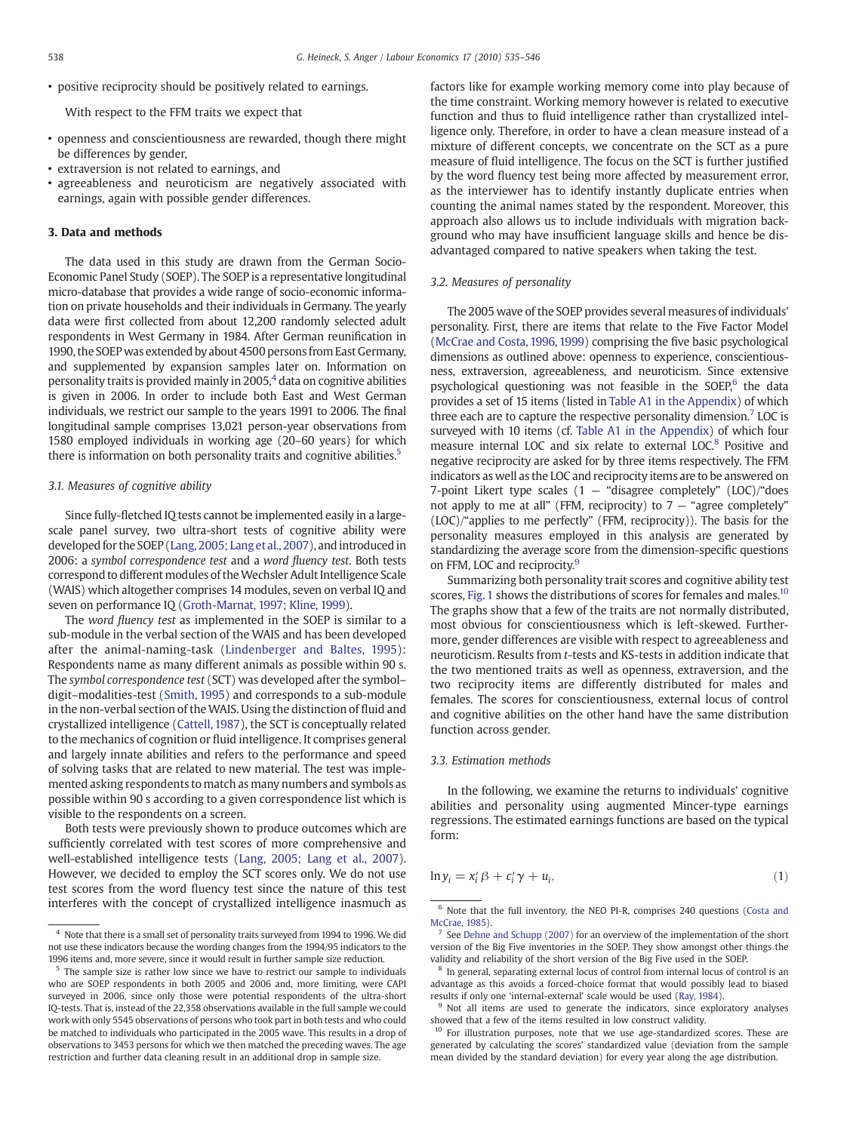• positive reciprocity should be positively related to earnings.

With respect to the FFM traits we expect that

- openness and conscientiousness are rewarded, though there might be differences by gender,
- extraversion is not related to earnings, and
- agreeableness and neuroticism are negatively associated with earnings, again with possible gender differences.

# 3. Data and methods

The data used in this study are drawn from the German Socio-Economic Panel Study (SOEP). The SOEP is a representative longitudinal micro-database that provides a wide range of socio-economic information on private households and their individuals in Germany. The yearly data were first collected from about 12,200 randomly selected adult respondents in West Germany in 1984. After German reunification in 1990, the SOEP was extended by about 4500 persons from East Germany, and supplemented by expansion samples later on. Information on personality traits is provided mainly in 2005,<sup>4</sup> data on cognitive abilities is given in 2006. In order to include both East and West German individuals, we restrict our sample to the years 1991 to 2006. The final longitudinal sample comprises 13,021 person-year observations from 1580 employed individuals in working age (20–60 years) for which there is information on both personality traits and cognitive abilities.<sup>5</sup>

#### *3.1. Measures of cognitive ability*

Since fully-fletched IQ tests cannot be implemented easily in a largescale panel survey, two ultra-short tests of cognitive ability were developed for the SOEP [\(Lang, 2005; Lang et al., 2007](#page-10-0)), and introduced in 2006: a *symbol correspondence test* and a *word* fl*uency test*. Both tests correspond to different modules of theWechsler Adult Intelligence Scale (WAIS) which altogether comprises 14 modules, seven on verbal IQ and seven on performance IQ [\(Groth-Marnat, 1997; Kline, 1999\)](#page-10-0).

The *word* fl*uency test* as implemented in the SOEP is similar to a sub-module in the verbal section of the WAIS and has been developed after the animal-naming-task ([Lindenberger and Baltes, 1995](#page-10-0)): Respondents name as many different animals as possible within 90 s. The *symbol correspondence test* (SCT) was developed after the symbol– digit–modalities-test [\(Smith, 1995\)](#page-11-0) and corresponds to a sub-module in the non-verbal section of the WAIS. Using the distinction of fluid and crystallized intelligence [\(Cattell, 1987](#page-10-0)), the SCT is conceptually related to the mechanics of cognition or fluid intelligence. It comprises general and largely innate abilities and refers to the performance and speed of solving tasks that are related to new material. The test was implemented asking respondents to match as many numbers and symbols as possible within 90 s according to a given correspondence list which is visible to the respondents on a screen.

Both tests were previously shown to produce outcomes which are sufficiently correlated with test scores of more comprehensive and well-established intelligence tests [\(Lang, 2005; Lang et al., 2007](#page-10-0)). However, we decided to employ the SCT scores only. We do not use test scores from the word fluency test since the nature of this test interferes with the concept of crystallized intelligence inasmuch as factors like for example working memory come into play because of the time constraint. Working memory however is related to executive function and thus to fluid intelligence rather than crystallized intelligence only. Therefore, in order to have a clean measure instead of a mixture of different concepts, we concentrate on the SCT as a pure measure of fluid intelligence. The focus on the SCT is further justified by the word fluency test being more affected by measurement error, as the interviewer has to identify instantly duplicate entries when counting the animal names stated by the respondent. Moreover, this approach also allows us to include individuals with migration background who may have insufficient language skills and hence be disadvantaged compared to native speakers when taking the test.

# *3.2. Measures of personality*

The 2005 wave of the SOEP provides several measures of individuals' personality. First, there are items that relate to the Five Factor Model [\(McCrae and Costa, 1996, 1999](#page-10-0)) comprising the five basic psychological dimensions as outlined above: openness to experience, conscientiousness, extraversion, agreeableness, and neuroticism. Since extensive psychological questioning was not feasible in the SOEP,<sup>6</sup> the data provides a set of 15 items (listed in [Table A1 in the Appendix](#page-9-0)) of which three each are to capture the respective personality dimension.<sup>7</sup> LOC is surveyed with 10 items (cf. [Table A1 in the Appendix\)](#page-9-0) of which four measure internal LOC and six relate to external LOC.<sup>8</sup> Positive and negative reciprocity are asked for by three items respectively. The FFM indicators as well as the LOC and reciprocity items are to be answered on 7-point Likert type scales  $(1 -$  "disagree completely"  $(LOC)$ /"does not apply to me at all" (FFM, reciprocity) to  $7 -$  "agree completely" (LOC)/"applies to me perfectly" (FFM, reciprocity)). The basis for the personality measures employed in this analysis are generated by standardizing the average score from the dimension-specific questions on FFM, LOC and reciprocity.<sup>9</sup>

Summarizing both personality trait scores and cognitive ability test scores, [Fig. 1](#page-4-0) shows the distributions of scores for females and males.<sup>10</sup> The graphs show that a few of the traits are not normally distributed, most obvious for conscientiousness which is left-skewed. Furthermore, gender differences are visible with respect to agreeableness and neuroticism. Results from *t*-tests and KS-tests in addition indicate that the two mentioned traits as well as openness, extraversion, and the two reciprocity items are differently distributed for males and females. The scores for conscientiousness, external locus of control and cognitive abilities on the other hand have the same distribution function across gender.

# *3.3. Estimation methods*

In the following, we examine the returns to individuals' cognitive abilities and personality using augmented Mincer-type earnings regressions. The estimated earnings functions are based on the typical form:

$$
\ln y_i = x_i' \beta + c_i' \gamma + u_i, \tag{1}
$$

<sup>4</sup> Note that there is a small set of personality traits surveyed from 1994 to 1996. We did not use these indicators because the wording changes from the 1994/95 indicators to the 1996 items and, more severe, since it would result in further sample size reduction.

<sup>&</sup>lt;sup>5</sup> The sample size is rather low since we have to restrict our sample to individuals who are SOEP respondents in both 2005 and 2006 and, more limiting, were CAPI surveyed in 2006, since only those were potential respondents of the ultra-short IQ-tests. That is, instead of the 22,358 observations available in the full sample we could work with only 5545 observations of persons who took part in both tests and who could be matched to individuals who participated in the 2005 wave. This results in a drop of observations to 3453 persons for which we then matched the preceding waves. The age restriction and further data cleaning result in an additional drop in sample size.

<sup>6</sup> Note that the full inventory, the NEO PI-R, comprises 240 questions [\(Costa and](#page-10-0) [McCrae, 1985\)](#page-10-0).

 $<sup>7</sup>$  See [Dehne and Schupp \(2007\)](#page-10-0) for an overview of the implementation of the short</sup> version of the Big Five inventories in the SOEP. They show amongst other things the validity and reliability of the short version of the Big Five used in the SOEP.

<sup>8</sup> In general, separating external locus of control from internal locus of control is an advantage as this avoids a forced-choice format that would possibly lead to biased results if only one 'internal-external' scale would be used ([Ray, 1984\)](#page-10-0).

<sup>&</sup>lt;sup>9</sup> Not all items are used to generate the indicators, since exploratory analyses showed that a few of the items resulted in low construct validity.

<sup>&</sup>lt;sup>10</sup> For illustration purposes, note that we use age-standardized scores. These are generated by calculating the scores' standardized value (deviation from the sample mean divided by the standard deviation) for every year along the age distribution.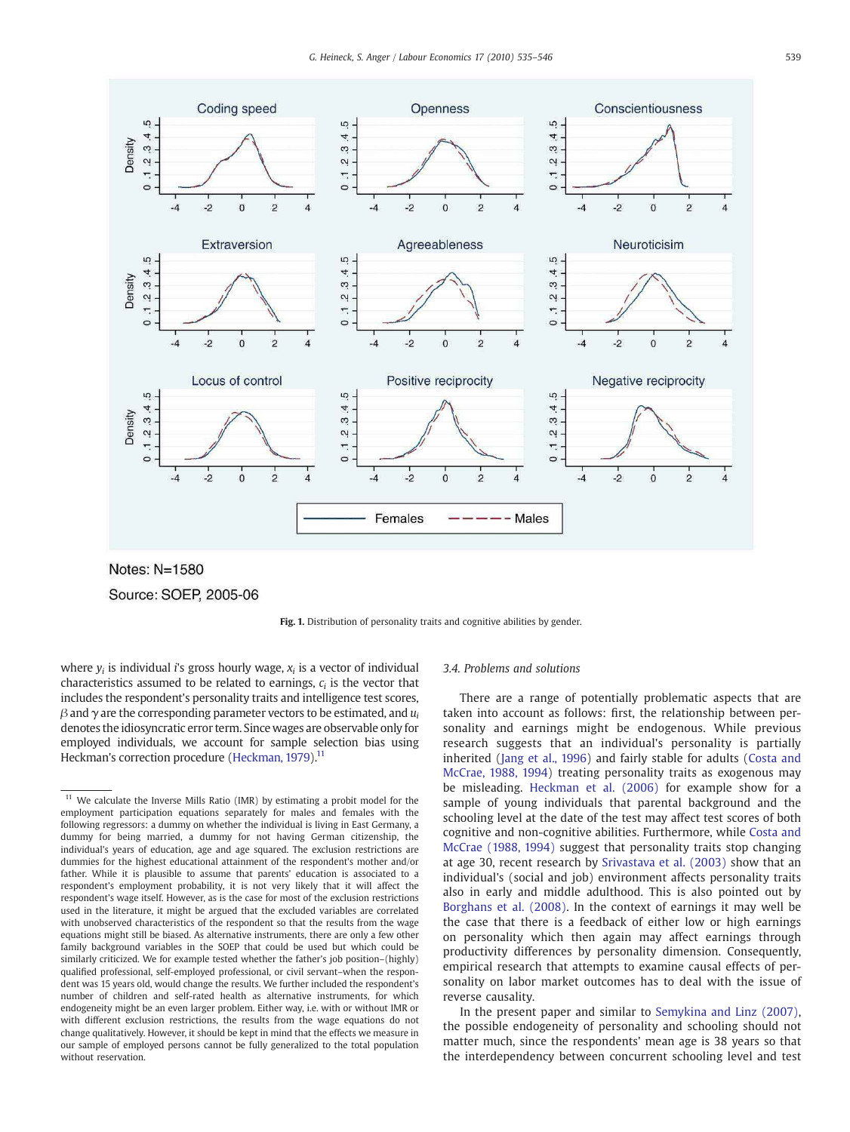<span id="page-4-0"></span>

Notes: N=1580 Source: SOEP, 2005-06

Fig. 1. Distribution of personality traits and cognitive abilities by gender.

where *y<sup>i</sup>* is individual *i*'s gross hourly wage, *x<sup>i</sup>* is a vector of individual characteristics assumed to be related to earnings, *c<sup>i</sup>* is the vector that includes the respondent's personality traits and intelligence test scores, β and γ are the corresponding parameter vectors to be estimated, and *u<sup>i</sup>* denotes the idiosyncratic error term. Since wages are observable only for employed individuals, we account for sample selection bias using Heckman's correction procedure [\(Heckman, 1979](#page-10-0)).<sup>11</sup>

# *3.4. Problems and solutions*

There are a range of potentially problematic aspects that are taken into account as follows: first, the relationship between personality and earnings might be endogenous. While previous research suggests that an individual's personality is partially inherited [\(Jang et al., 1996](#page-10-0)) and fairly stable for adults ([Costa and](#page-10-0) [McCrae, 1988, 1994\)](#page-10-0) treating personality traits as exogenous may be misleading. [Heckman et al. \(2006\)](#page-10-0) for example show for a sample of young individuals that parental background and the schooling level at the date of the test may affect test scores of both cognitive and non-cognitive abilities. Furthermore, while [Costa and](#page-10-0) [McCrae \(1988, 1994\)](#page-10-0) suggest that personality traits stop changing at age 30, recent research by [Srivastava et al. \(2003\)](#page-11-0) show that an individual's (social and job) environment affects personality traits also in early and middle adulthood. This is also pointed out by [Borghans et al. \(2008\)](#page-10-0). In the context of earnings it may well be the case that there is a feedback of either low or high earnings on personality which then again may affect earnings through productivity differences by personality dimension. Consequently, empirical research that attempts to examine causal effects of personality on labor market outcomes has to deal with the issue of reverse causality.

In the present paper and similar to [Semykina and Linz \(2007\),](#page-11-0) the possible endogeneity of personality and schooling should not matter much, since the respondents' mean age is 38 years so that the interdependency between concurrent schooling level and test

 $11$  We calculate the Inverse Mills Ratio (IMR) by estimating a probit model for the employment participation equations separately for males and females with the following regressors: a dummy on whether the individual is living in East Germany, a dummy for being married, a dummy for not having German citizenship, the individual's years of education, age and age squared. The exclusion restrictions are dummies for the highest educational attainment of the respondent's mother and/or father. While it is plausible to assume that parents' education is associated to a respondent's employment probability, it is not very likely that it will affect the respondent's wage itself. However, as is the case for most of the exclusion restrictions used in the literature, it might be argued that the excluded variables are correlated with unobserved characteristics of the respondent so that the results from the wage equations might still be biased. As alternative instruments, there are only a few other family background variables in the SOEP that could be used but which could be similarly criticized. We for example tested whether the father's job position–(highly) qualified professional, self-employed professional, or civil servant–when the respondent was 15 years old, would change the results. We further included the respondent's number of children and self-rated health as alternative instruments, for which endogeneity might be an even larger problem. Either way, i.e. with or without IMR or with different exclusion restrictions, the results from the wage equations do not change qualitatively. However, it should be kept in mind that the effects we measure in our sample of employed persons cannot be fully generalized to the total population without reservation.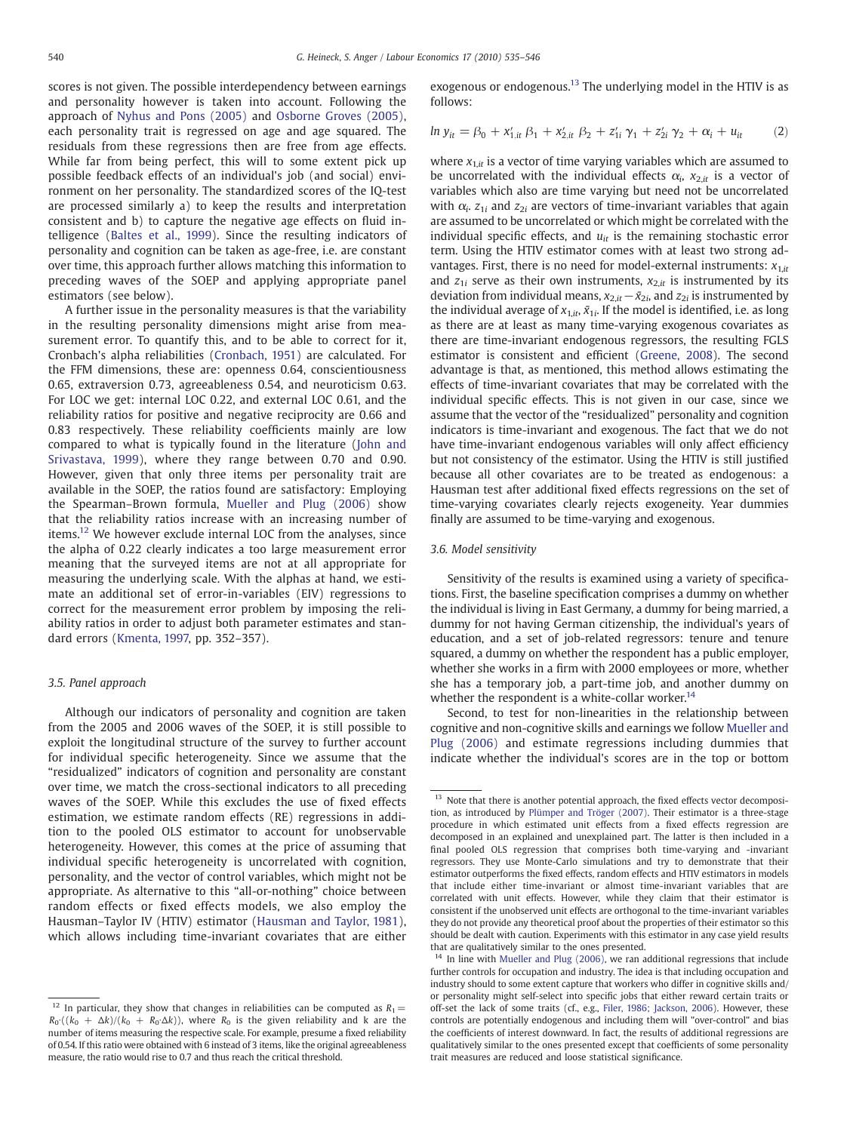scores is not given. The possible interdependency between earnings and personality however is taken into account. Following the approach of [Nyhus and Pons \(2005\)](#page-10-0) and [Osborne Groves \(2005\),](#page-10-0) each personality trait is regressed on age and age squared. The residuals from these regressions then are free from age effects. While far from being perfect, this will to some extent pick up possible feedback effects of an individual's job (and social) environment on her personality. The standardized scores of the IQ-test are processed similarly a) to keep the results and interpretation consistent and b) to capture the negative age effects on fluid intelligence ([Baltes et al., 1999](#page-10-0)). Since the resulting indicators of personality and cognition can be taken as age-free, i.e. are constant over time, this approach further allows matching this information to preceding waves of the SOEP and applying appropriate panel estimators (see below).

A further issue in the personality measures is that the variability in the resulting personality dimensions might arise from measurement error. To quantify this, and to be able to correct for it, Cronbach's alpha reliabilities [\(Cronbach, 1951\)](#page-10-0) are calculated. For the FFM dimensions, these are: openness 0.64, conscientiousness 0.65, extraversion 0.73, agreeableness 0.54, and neuroticism 0.63. For LOC we get: internal LOC 0.22, and external LOC 0.61, and the reliability ratios for positive and negative reciprocity are 0.66 and 0.83 respectively. These reliability coefficients mainly are low compared to what is typically found in the literature [\(John and](#page-10-0) [Srivastava, 1999](#page-10-0)), where they range between 0.70 and 0.90. However, given that only three items per personality trait are available in the SOEP, the ratios found are satisfactory: Employing the Spearman–Brown formula, [Mueller and Plug \(2006\)](#page-10-0) show that the reliability ratios increase with an increasing number of items.<sup>12</sup> We however exclude internal LOC from the analyses, since the alpha of 0.22 clearly indicates a too large measurement error meaning that the surveyed items are not at all appropriate for measuring the underlying scale. With the alphas at hand, we estimate an additional set of error-in-variables (EIV) regressions to correct for the measurement error problem by imposing the reliability ratios in order to adjust both parameter estimates and standard errors ([Kmenta, 1997,](#page-10-0) pp. 352–357).

# *3.5. Panel approach*

Although our indicators of personality and cognition are taken from the 2005 and 2006 waves of the SOEP, it is still possible to exploit the longitudinal structure of the survey to further account for individual specific heterogeneity. Since we assume that the "residualized" indicators of cognition and personality are constant over time, we match the cross-sectional indicators to all preceding waves of the SOEP. While this excludes the use of fixed effects estimation, we estimate random effects (RE) regressions in addition to the pooled OLS estimator to account for unobservable heterogeneity. However, this comes at the price of assuming that individual specific heterogeneity is uncorrelated with cognition, personality, and the vector of control variables, which might not be appropriate. As alternative to this "all-or-nothing" choice between random effects or fixed effects models, we also employ the Hausman–Taylor IV (HTIV) estimator [\(Hausman and Taylor, 1981](#page-10-0)), which allows including time-invariant covariates that are either exogenous or endogenous. $13$  The underlying model in the HTIV is as follows:

$$
\ln y_{it} = \beta_0 + x'_{1,it} \beta_1 + x'_{2,it} \beta_2 + z'_{1i} \gamma_1 + z'_{2i} \gamma_2 + \alpha_i + u_{it} \tag{2}
$$

where  $x_{1,it}$  is a vector of time varying variables which are assumed to be uncorrelated with the individual effects  $\alpha_i$ ,  $x_{2,it}$  is a vector of variables which also are time varying but need not be uncorrelated with  $\alpha_i$ ,  $z_{1i}$  and  $z_{2i}$  are vectors of time-invariant variables that again are assumed to be uncorrelated or which might be correlated with the individual specific effects, and *uit* is the remaining stochastic error term. Using the HTIV estimator comes with at least two strong advantages. First, there is no need for model-external instruments: *x*1,*it* and  $z_{1i}$  serve as their own instruments,  $x_{2,it}$  is instrumented by its deviation from individual means,  $x_{2,i} - \bar{x}_{2i}$ , and  $z_{2i}$  is instrumented by the individual average of  $x_{1,it}$ ,  $\bar{x}_{1i}$ . If the model is identified, i.e. as long as there are at least as many time-varying exogenous covariates as there are time-invariant endogenous regressors, the resulting FGLS estimator is consistent and efficient ([Greene, 2008\)](#page-10-0). The second advantage is that, as mentioned, this method allows estimating the effects of time-invariant covariates that may be correlated with the individual specific effects. This is not given in our case, since we assume that the vector of the "residualized" personality and cognition indicators is time-invariant and exogenous. The fact that we do not have time-invariant endogenous variables will only affect efficiency but not consistency of the estimator. Using the HTIV is still justified because all other covariates are to be treated as endogenous: a Hausman test after additional fixed effects regressions on the set of time-varying covariates clearly rejects exogeneity. Year dummies finally are assumed to be time-varying and exogenous.

#### *3.6. Model sensitivity*

Sensitivity of the results is examined using a variety of specifications. First, the baseline specification comprises a dummy on whether the individual is living in East Germany, a dummy for being married, a dummy for not having German citizenship, the individual's years of education, and a set of job-related regressors: tenure and tenure squared, a dummy on whether the respondent has a public employer, whether she works in a firm with 2000 employees or more, whether she has a temporary job, a part-time job, and another dummy on whether the respondent is a white-collar worker. $^{14}$ 

Second, to test for non-linearities in the relationship between cognitive and non-cognitive skills and earnings we follow [Mueller and](#page-10-0) [Plug \(2006\)](#page-10-0) and estimate regressions including dummies that indicate whether the individual's scores are in the top or bottom

<sup>&</sup>lt;sup>12</sup> In particular, they show that changes in reliabilities can be computed as  $R_1=$  $R_0$ ⋅(( $k_0$  +  $\Delta k$ )/( $k_0$  +  $R_0$ ⋅ $\Delta k$ )), where  $R_0$  is the given reliability and k are the number of items measuring the respective scale. For example, presume a fixed reliability of 0.54. If this ratio were obtained with 6 instead of 3 items, like the original agreeableness measure, the ratio would rise to 0.7 and thus reach the critical threshold.

<sup>&</sup>lt;sup>13</sup> Note that there is another potential approach, the fixed effects vector decomposition, as introduced by [Plümper and Tröger \(2007\).](#page-10-0) Their estimator is a three-stage procedure in which estimated unit effects from a fixed effects regression are decomposed in an explained and unexplained part. The latter is then included in a final pooled OLS regression that comprises both time-varying and -invariant regressors. They use Monte-Carlo simulations and try to demonstrate that their estimator outperforms the fixed effects, random effects and HTIV estimators in models that include either time-invariant or almost time-invariant variables that are correlated with unit effects. However, while they claim that their estimator is consistent if the unobserved unit effects are orthogonal to the time-invariant variables they do not provide any theoretical proof about the properties of their estimator so this should be dealt with caution. Experiments with this estimator in any case yield results that are qualitatively similar to the ones presented.

 $14$  In line with [Mueller and Plug \(2006\),](#page-10-0) we ran additional regressions that include further controls for occupation and industry. The idea is that including occupation and industry should to some extent capture that workers who differ in cognitive skills and/ or personality might self-select into specific jobs that either reward certain traits or off-set the lack of some traits (cf., e.g., [Filer, 1986; Jackson, 2006\)](#page-10-0). However, these controls are potentially endogenous and including them will "over-control" and bias the coefficients of interest downward. In fact, the results of additional regressions are qualitatively similar to the ones presented except that coefficients of some personality trait measures are reduced and loose statistical significance.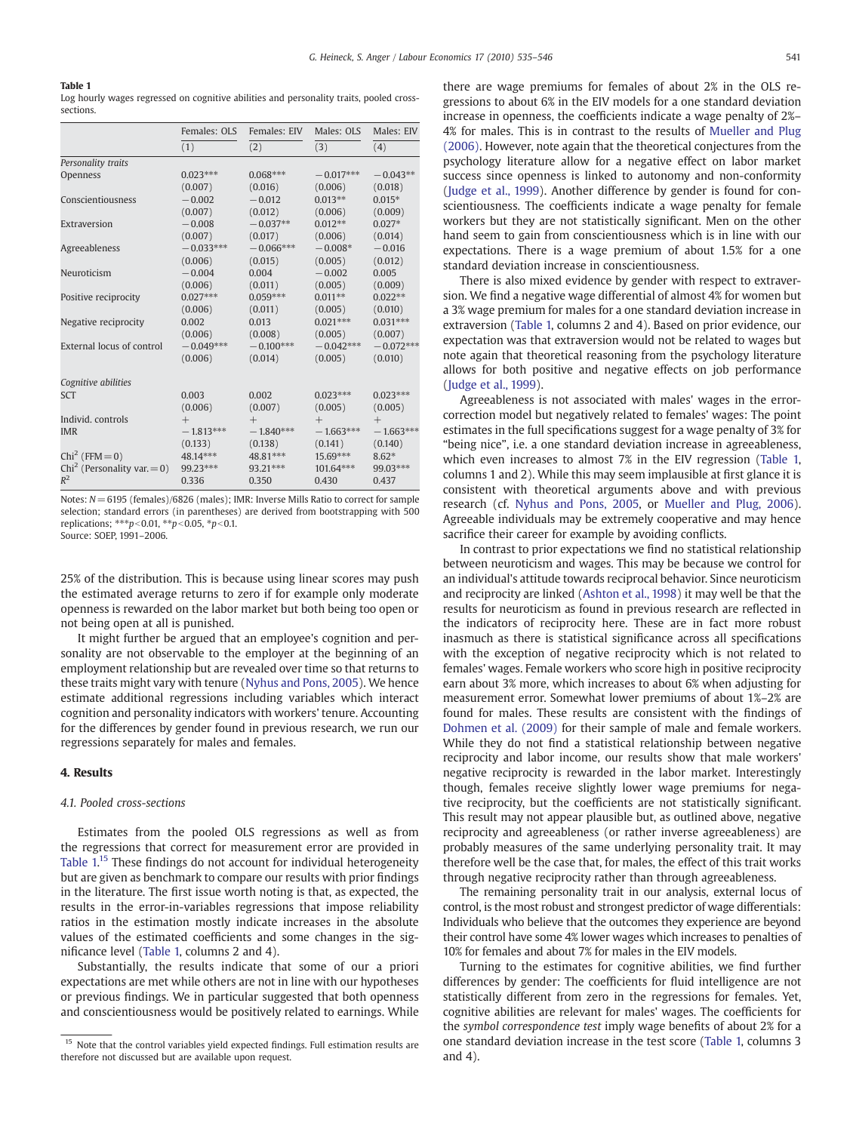#### Table 1

Log hourly wages regressed on cognitive abilities and personality traits, pooled crosssections.

|                                            | Females: OLS | Females: EIV | Males: OLS  | Males: EIV  |
|--------------------------------------------|--------------|--------------|-------------|-------------|
|                                            | (1)          | (2)          | (3)         | (4)         |
| Personality traits                         |              |              |             |             |
| Openness                                   | $0.023***$   | $0.068***$   | $-0.017***$ | $-0.043**$  |
|                                            | (0.007)      | (0.016)      | (0.006)     | (0.018)     |
| Conscientiousness                          | $-0.002$     | $-0.012$     | $0.013**$   | $0.015*$    |
|                                            | (0.007)      | (0.012)      | (0.006)     | (0.009)     |
| Extraversion                               | $-0.008$     | $-0.037**$   | $0.012**$   | $0.027*$    |
|                                            | (0.007)      | (0.017)      | (0.006)     | (0.014)     |
| Agreeableness                              | $-0.033***$  | $-0.066***$  | $-0.008*$   | $-0.016$    |
|                                            | (0.006)      | (0.015)      | (0.005)     | (0.012)     |
| Neuroticism                                | $-0.004$     | 0.004        | $-0.002$    | 0.005       |
|                                            | (0.006)      | (0.011)      | (0.005)     | (0.009)     |
| Positive reciprocity                       | $0.027***$   | $0.059***$   | $0.011**$   | $0.022**$   |
|                                            | (0.006)      | (0.011)      | (0.005)     | (0.010)     |
| Negative reciprocity                       | 0.002        | 0.013        | $0.021***$  | $0.031***$  |
|                                            | (0.006)      | (0.008)      | (0.005)     | (0.007)     |
| External locus of control                  | $-0.049***$  | $-0.100***$  | $-0.042***$ | $-0.072***$ |
|                                            | (0.006)      | (0.014)      | (0.005)     | (0.010)     |
| Cognitive abilities                        |              |              |             |             |
| SCT                                        | 0.003        | 0.002        | $0.023***$  | $0.023***$  |
|                                            | (0.006)      | (0.007)      | (0.005)     | (0.005)     |
| Individ, controls                          | $^{+}$       | $^{+}$       | $^{+}$      | $^{+}$      |
| <b>IMR</b>                                 | $-1.813***$  | $-1.840***$  | $-1.663***$ | $-1.663***$ |
|                                            | (0.133)      | (0.138)      | (0.141)     | (0.140)     |
| $Chi2$ (FFM = 0)                           | 48.14***     | 48.81***     | 15.69***    | $8.62*$     |
| Chi <sup>2</sup> (Personality var. $= 0$ ) | 99.23***     | 93.21 ***    | 101.64***   | 99.03***    |
| $R^2$                                      | 0.336        | 0.350        | 0.430       | 0.437       |

Notes:  $N = 6195$  (females)/6826 (males); IMR: Inverse Mills Ratio to correct for sample selection; standard errors (in parentheses) are derived from bootstrapping with 500 replications; \*\*\**p*<0.01, \*\**p*<0.05, \**p*<0.1.

Source: SOEP, 1991–2006.

25% of the distribution. This is because using linear scores may push the estimated average returns to zero if for example only moderate openness is rewarded on the labor market but both being too open or not being open at all is punished.

It might further be argued that an employee's cognition and personality are not observable to the employer at the beginning of an employment relationship but are revealed over time so that returns to these traits might vary with tenure [\(Nyhus and Pons, 2005](#page-10-0)). We hence estimate additional regressions including variables which interact cognition and personality indicators with workers' tenure. Accounting for the differences by gender found in previous research, we run our regressions separately for males and females.

### 4. Results

# *4.1. Pooled cross-sections*

Estimates from the pooled OLS regressions as well as from the regressions that correct for measurement error are provided in Table 1.<sup>15</sup> These findings do not account for individual heterogeneity but are given as benchmark to compare our results with prior findings in the literature. The first issue worth noting is that, as expected, the results in the error-in-variables regressions that impose reliability ratios in the estimation mostly indicate increases in the absolute values of the estimated coefficients and some changes in the significance level (Table 1, columns 2 and 4).

Substantially, the results indicate that some of our a priori expectations are met while others are not in line with our hypotheses or previous findings. We in particular suggested that both openness and conscientiousness would be positively related to earnings. While

there are wage premiums for females of about 2% in the OLS regressions to about 6% in the EIV models for a one standard deviation increase in openness, the coefficients indicate a wage penalty of 2%– 4% for males. This is in contrast to the results of [Mueller and Plug](#page-10-0) [\(2006\)](#page-10-0). However, note again that the theoretical conjectures from the psychology literature allow for a negative effect on labor market success since openness is linked to autonomy and non-conformity [\(Judge et al., 1999\)](#page-10-0). Another difference by gender is found for conscientiousness. The coefficients indicate a wage penalty for female workers but they are not statistically significant. Men on the other hand seem to gain from conscientiousness which is in line with our expectations. There is a wage premium of about 1.5% for a one standard deviation increase in conscientiousness.

There is also mixed evidence by gender with respect to extraversion. We find a negative wage differential of almost 4% for women but a 3% wage premium for males for a one standard deviation increase in extraversion (Table 1, columns 2 and 4). Based on prior evidence, our expectation was that extraversion would not be related to wages but note again that theoretical reasoning from the psychology literature allows for both positive and negative effects on job performance [\(Judge et al., 1999\)](#page-10-0).

Agreeableness is not associated with males' wages in the errorcorrection model but negatively related to females' wages: The point estimates in the full specifications suggest for a wage penalty of 3% for "being nice", i.e. a one standard deviation increase in agreeableness, which even increases to almost 7% in the EIV regression (Table 1, columns 1 and 2). While this may seem implausible at first glance it is consistent with theoretical arguments above and with previous research (cf. [Nyhus and Pons, 2005,](#page-10-0) or [Mueller and Plug, 2006](#page-10-0)). Agreeable individuals may be extremely cooperative and may hence sacrifice their career for example by avoiding conflicts.

In contrast to prior expectations we find no statistical relationship between neuroticism and wages. This may be because we control for an individual's attitude towards reciprocal behavior. Since neuroticism and reciprocity are linked ([Ashton et al., 1998](#page-10-0)) it may well be that the results for neuroticism as found in previous research are reflected in the indicators of reciprocity here. These are in fact more robust inasmuch as there is statistical significance across all specifications with the exception of negative reciprocity which is not related to females' wages. Female workers who score high in positive reciprocity earn about 3% more, which increases to about 6% when adjusting for measurement error. Somewhat lower premiums of about 1%–2% are found for males. These results are consistent with the findings of [Dohmen et al. \(2009\)](#page-10-0) for their sample of male and female workers. While they do not find a statistical relationship between negative reciprocity and labor income, our results show that male workers' negative reciprocity is rewarded in the labor market. Interestingly though, females receive slightly lower wage premiums for negative reciprocity, but the coefficients are not statistically significant. This result may not appear plausible but, as outlined above, negative reciprocity and agreeableness (or rather inverse agreeableness) are probably measures of the same underlying personality trait. It may therefore well be the case that, for males, the effect of this trait works through negative reciprocity rather than through agreeableness.

The remaining personality trait in our analysis, external locus of control, is the most robust and strongest predictor of wage differentials: Individuals who believe that the outcomes they experience are beyond their control have some 4% lower wages which increases to penalties of 10% for females and about 7% for males in the EIV models.

Turning to the estimates for cognitive abilities, we find further differences by gender: The coefficients for fluid intelligence are not statistically different from zero in the regressions for females. Yet, cognitive abilities are relevant for males' wages. The coefficients for the *symbol correspondence test* imply wage benefits of about 2% for a one standard deviation increase in the test score (Table 1, columns 3 and 4).

<sup>&</sup>lt;sup>15</sup> Note that the control variables yield expected findings. Full estimation results are therefore not discussed but are available upon request.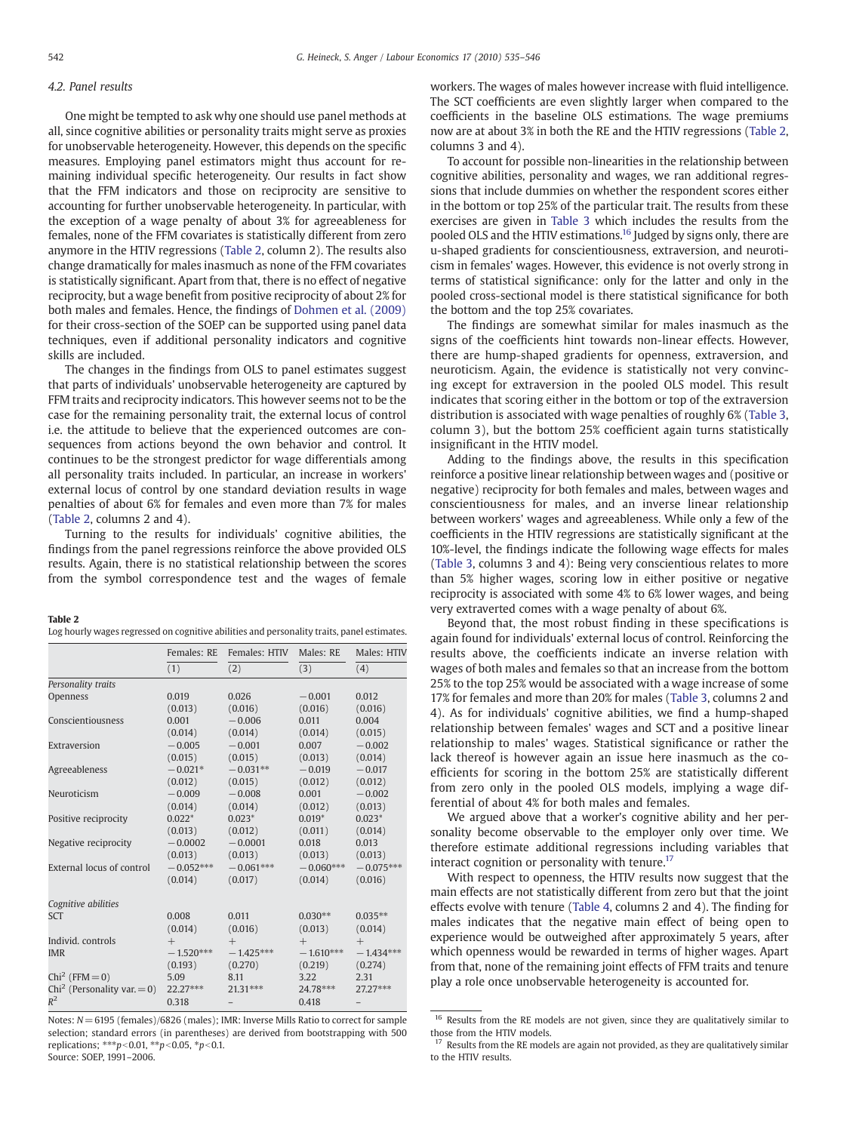# *4.2. Panel results*

One might be tempted to ask why one should use panel methods at all, since cognitive abilities or personality traits might serve as proxies for unobservable heterogeneity. However, this depends on the specific measures. Employing panel estimators might thus account for remaining individual specific heterogeneity. Our results in fact show that the FFM indicators and those on reciprocity are sensitive to accounting for further unobservable heterogeneity. In particular, with the exception of a wage penalty of about 3% for agreeableness for females, none of the FFM covariates is statistically different from zero anymore in the HTIV regressions (Table 2, column 2). The results also change dramatically for males inasmuch as none of the FFM covariates is statistically significant. Apart from that, there is no effect of negative reciprocity, but a wage benefit from positive reciprocity of about 2% for both males and females. Hence, the findings of [Dohmen et al. \(2009\)](#page-10-0) for their cross-section of the SOEP can be supported using panel data techniques, even if additional personality indicators and cognitive skills are included.

The changes in the findings from OLS to panel estimates suggest that parts of individuals' unobservable heterogeneity are captured by FFM traits and reciprocity indicators. This however seems not to be the case for the remaining personality trait, the external locus of control i.e. the attitude to believe that the experienced outcomes are consequences from actions beyond the own behavior and control. It continues to be the strongest predictor for wage differentials among all personality traits included. In particular, an increase in workers' external locus of control by one standard deviation results in wage penalties of about 6% for females and even more than 7% for males (Table 2, columns 2 and 4).

Turning to the results for individuals' cognitive abilities, the findings from the panel regressions reinforce the above provided OLS results. Again, there is no statistical relationship between the scores from the symbol correspondence test and the wages of female

#### Table 2

| Log hourly wages regressed on cognitive abilities and personality traits, panel estimates. |  |  |
|--------------------------------------------------------------------------------------------|--|--|
|                                                                                            |  |  |

|                                            | Females: RE | Females: HTIV | Males: RE   | Males: HTIV |
|--------------------------------------------|-------------|---------------|-------------|-------------|
|                                            | (1)         | (2)           | (3)         | (4)         |
| Personality traits                         |             |               |             |             |
| Openness                                   | 0.019       | 0.026         | $-0.001$    | 0.012       |
|                                            | (0.013)     | (0.016)       | (0.016)     | (0.016)     |
| Conscientiousness                          | 0.001       | $-0.006$      | 0.011       | 0.004       |
|                                            | (0.014)     | (0.014)       | (0.014)     | (0.015)     |
| Extraversion                               | $-0.005$    | $-0.001$      | 0.007       | $-0.002$    |
|                                            | (0.015)     | (0.015)       | (0.013)     | (0.014)     |
| Agreeableness                              | $-0.021*$   | $-0.031**$    | $-0.019$    | $-0.017$    |
|                                            | (0.012)     | (0.015)       | (0.012)     | (0.012)     |
| Neuroticism                                | $-0.009$    | $-0.008$      | 0.001       | $-0.002$    |
|                                            | (0.014)     | (0.014)       | (0.012)     | (0.013)     |
| Positive reciprocity                       | $0.022*$    | $0.023*$      | $0.019*$    | $0.023*$    |
|                                            | (0.013)     | (0.012)       | (0.011)     | (0.014)     |
| Negative reciprocity                       | $-0.0002$   | $-0.0001$     | 0.018       | 0.013       |
|                                            | (0.013)     | (0.013)       | (0.013)     | (0.013)     |
| External locus of control                  | $-0.052***$ | $-0.061***$   | $-0.060***$ | $-0.075***$ |
|                                            | (0.014)     | (0.017)       | (0.014)     | (0.016)     |
| Cognitive abilities                        |             |               |             |             |
| <b>SCT</b>                                 | 0.008       | 0.011         | $0.030**$   | $0.035**$   |
|                                            | (0.014)     | (0.016)       | (0.013)     | (0.014)     |
| Individ, controls                          | $+$         | $^{+}$        | $^{+}$      | $^{+}$      |
| <b>IMR</b>                                 | $-1.520***$ | $-1.425***$   | $-1.610***$ | $-1.434***$ |
|                                            | (0.193)     | (0.270)       | (0.219)     | (0.274)     |
| $Chi2$ (FFM = 0)                           | 5.09        | 8.11          | 3.22        | 2.31        |
| Chi <sup>2</sup> (Personality var, $= 0$ ) | 22.27***    | $21.31***$    | 24.78***    | 27.27***    |
| $R^2$                                      | 0.318       |               | 0.418       |             |

Notes: *N*= 6195 (females)/6826 (males); IMR: Inverse Mills Ratio to correct for sample selection; standard errors (in parentheses) are derived from bootstrapping with 500 replications; \*\*\**p*<0.01, \*\**p*<0.05, \**p*<0.1. Source: SOEP, 1991–2006.

workers. The wages of males however increase with fluid intelligence. The SCT coefficients are even slightly larger when compared to the coefficients in the baseline OLS estimations. The wage premiums now are at about 3% in both the RE and the HTIV regressions (Table 2, columns 3 and 4).

To account for possible non-linearities in the relationship between cognitive abilities, personality and wages, we ran additional regressions that include dummies on whether the respondent scores either in the bottom or top 25% of the particular trait. The results from these exercises are given in [Table 3](#page-8-0) which includes the results from the pooled OLS and the HTIV estimations.<sup>16</sup> Judged by signs only, there are u-shaped gradients for conscientiousness, extraversion, and neuroticism in females' wages. However, this evidence is not overly strong in terms of statistical significance: only for the latter and only in the pooled cross-sectional model is there statistical significance for both the bottom and the top 25% covariates.

The findings are somewhat similar for males inasmuch as the signs of the coefficients hint towards non-linear effects. However, there are hump-shaped gradients for openness, extraversion, and neuroticism. Again, the evidence is statistically not very convincing except for extraversion in the pooled OLS model. This result indicates that scoring either in the bottom or top of the extraversion distribution is associated with wage penalties of roughly 6% ([Table 3,](#page-8-0) column 3), but the bottom 25% coefficient again turns statistically insignificant in the HTIV model.

Adding to the findings above, the results in this specification reinforce a positive linear relationship between wages and (positive or negative) reciprocity for both females and males, between wages and conscientiousness for males, and an inverse linear relationship between workers' wages and agreeableness. While only a few of the coefficients in the HTIV regressions are statistically significant at the 10%-level, the findings indicate the following wage effects for males [\(Table 3](#page-8-0), columns 3 and 4): Being very conscientious relates to more than 5% higher wages, scoring low in either positive or negative reciprocity is associated with some 4% to 6% lower wages, and being very extraverted comes with a wage penalty of about 6%.

Beyond that, the most robust finding in these specifications is again found for individuals' external locus of control. Reinforcing the results above, the coefficients indicate an inverse relation with wages of both males and females so that an increase from the bottom 25% to the top 25% would be associated with a wage increase of some 17% for females and more than 20% for males ([Table 3,](#page-8-0) columns 2 and 4). As for individuals' cognitive abilities, we find a hump-shaped relationship between females' wages and SCT and a positive linear relationship to males' wages. Statistical significance or rather the lack thereof is however again an issue here inasmuch as the coefficients for scoring in the bottom 25% are statistically different from zero only in the pooled OLS models, implying a wage differential of about 4% for both males and females.

We argued above that a worker's cognitive ability and her personality become observable to the employer only over time. We therefore estimate additional regressions including variables that interact cognition or personality with tenure. $17$ 

With respect to openness, the HTIV results now suggest that the main effects are not statistically different from zero but that the joint effects evolve with tenure [\(Table 4](#page-8-0), columns 2 and 4). The finding for males indicates that the negative main effect of being open to experience would be outweighed after approximately 5 years, after which openness would be rewarded in terms of higher wages. Apart from that, none of the remaining joint effects of FFM traits and tenure play a role once unobservable heterogeneity is accounted for.

<sup>&</sup>lt;sup>16</sup> Results from the RE models are not given, since they are qualitatively similar to those from the HTIV models.

 $17$  Results from the RE models are again not provided, as they are qualitatively similar to the HTIV results.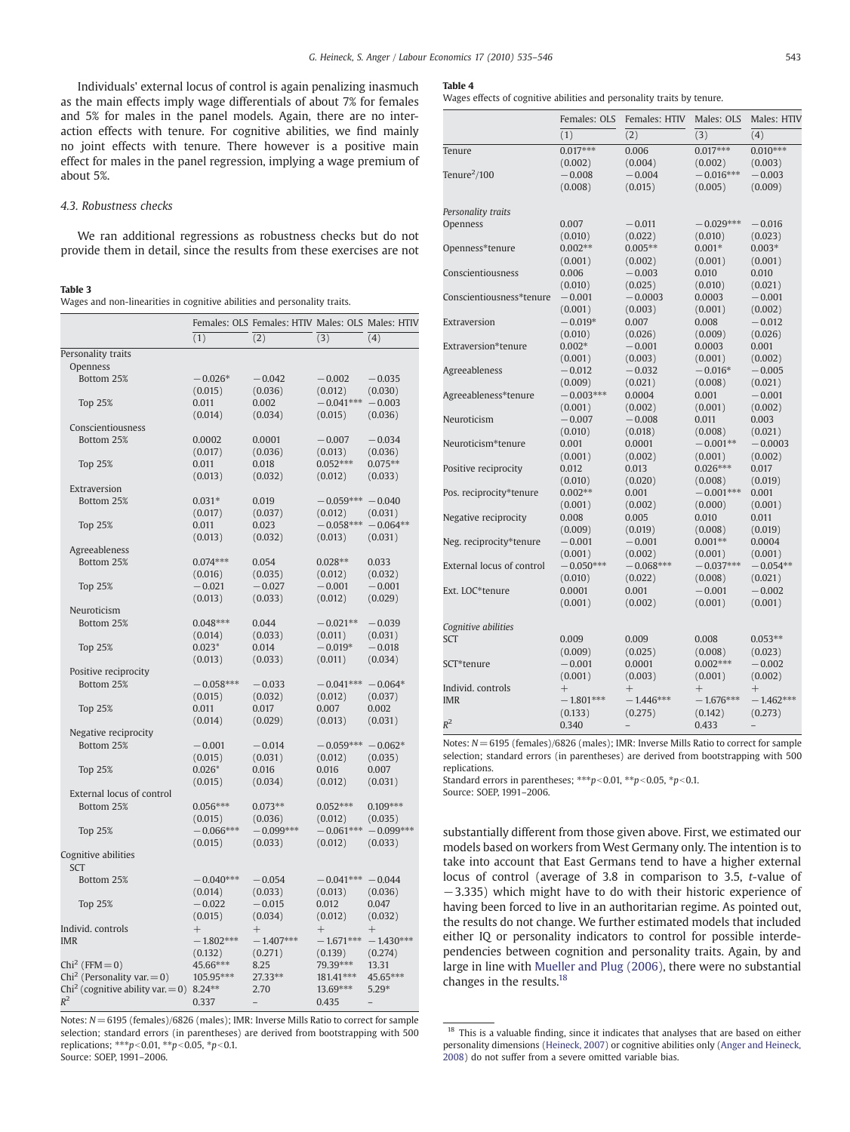<span id="page-8-0"></span>Individuals' external locus of control is again penalizing inasmuch as the main effects imply wage differentials of about 7% for females and 5% for males in the panel models. Again, there are no interaction effects with tenure. For cognitive abilities, we find mainly no joint effects with tenure. There however is a positive main effect for males in the panel regression, implying a wage premium of about 5%.

# *4.3. Robustness checks*

We ran additional regressions as robustness checks but do not provide them in detail, since the results from these exercises are not

# Table 3

|  |  |  |  |  |  |  |  |  |  | Wages and non-linearities in cognitive abilities and personality traits. |  |  |
|--|--|--|--|--|--|--|--|--|--|--------------------------------------------------------------------------|--|--|
|--|--|--|--|--|--|--|--|--|--|--------------------------------------------------------------------------|--|--|

|                                                                     |                     | Females: OLS Females: HTIV Males: OLS Males: HTIV |                      |                     |
|---------------------------------------------------------------------|---------------------|---------------------------------------------------|----------------------|---------------------|
|                                                                     | (1)                 | (2)                                               | (3)                  | (4)                 |
| Personality traits                                                  |                     |                                                   |                      |                     |
| Openness                                                            |                     |                                                   |                      |                     |
| Bottom 25%                                                          | $-0.026*$           | $-0.042$                                          | $-0.002$             | $-0.035$            |
|                                                                     | (0.015)             | (0.036)                                           | (0.012)              | (0.030)             |
| Top 25%                                                             | 0.011               | 0.002                                             | $-0.041***$          | $-0.003$            |
|                                                                     | (0.014)             | (0.034)                                           | (0.015)              | (0.036)             |
| Conscientiousness                                                   |                     |                                                   |                      |                     |
| Bottom 25%                                                          | 0.0002              | 0.0001                                            | $-0.007$             | $-0.034$            |
|                                                                     | (0.017)             | (0.036)                                           | (0.013)              | (0.036)             |
| Top 25%                                                             | 0.011               | 0.018                                             | $0.052***$           | $0.075**$           |
|                                                                     | (0.013)             | (0.032)                                           | (0.012)              | (0.033)             |
| Extraversion                                                        |                     |                                                   |                      |                     |
| Bottom 25%                                                          | $0.031*$            | 0.019                                             | $-0.059***$          | $-0.040$            |
|                                                                     | (0.017)             | (0.037)                                           | (0.012)              | (0.031)             |
| Top 25%                                                             | 0.011               | 0.023                                             | $-0.058***$          | $-0.064**$          |
|                                                                     | (0.013)             | (0.032)                                           | (0.013)              | (0.031)             |
| Agreeableness                                                       |                     |                                                   |                      |                     |
| Bottom 25%                                                          | $0.074***$          | 0.054                                             | $0.028**$            | 0.033               |
|                                                                     | (0.016)             | (0.035)                                           | (0.012)              | (0.032)             |
| Top 25%                                                             | $-0.021$            | $-0.027$                                          | $-0.001$             | $-0.001$            |
|                                                                     | (0.013)             | (0.033)                                           | (0.012)              | (0.029)             |
| Neuroticism                                                         |                     |                                                   |                      |                     |
| Bottom 25%                                                          | $0.048***$          | 0.044                                             | $-0.021**$           | $-0.039$            |
| Top 25%                                                             | (0.014)<br>$0.023*$ | (0.033)<br>0.014                                  | (0.011)<br>$-0.019*$ | (0.031)<br>$-0.018$ |
|                                                                     | (0.013)             | (0.033)                                           | (0.011)              | (0.034)             |
| Positive reciprocity                                                |                     |                                                   |                      |                     |
| Bottom 25%                                                          | $-0.058***$         | $-0.033$                                          | $-0.041***$          | $-0.064*$           |
|                                                                     | (0.015)             | (0.032)                                           | (0.012)              | (0.037)             |
| Top 25%                                                             | 0.011               | 0.017                                             | 0.007                | 0.002               |
|                                                                     | (0.014)             | (0.029)                                           | (0.013)              | (0.031)             |
| Negative reciprocity                                                |                     |                                                   |                      |                     |
| Bottom 25%                                                          | $-0.001$            | $-0.014$                                          | $-0.059*** -0.062*$  |                     |
|                                                                     | (0.015)             | (0.031)                                           | (0.012)              | (0.035)             |
| Top 25%                                                             | $0.026*$            | 0.016                                             | 0.016                | 0.007               |
|                                                                     | (0.015)             | (0.034)                                           | (0.012)              | (0.031)             |
| External locus of control                                           |                     |                                                   |                      |                     |
| Bottom 25%                                                          | $0.056***$          | $0.073**$                                         | $0.052***$           | $0.109***$          |
|                                                                     | (0.015)             | (0.036)                                           | (0.012)              | (0.035)             |
| Top 25%                                                             | $-0.066***$         | $-0.099***$                                       | $-0.061***$          | $-0.099***$         |
|                                                                     | (0.015)             | (0.033)                                           | (0.012)              | (0.033)             |
| Cognitive abilities                                                 |                     |                                                   |                      |                     |
| <b>SCT</b>                                                          |                     |                                                   |                      |                     |
| Bottom 25%                                                          | $-0.040***$         | $-0.054$                                          | $-0.041***$          | $-0.044$            |
|                                                                     | (0.014)             | (0.033)                                           | (0.013)              | (0.036)             |
| Top 25%                                                             | $-0.022$            | $-0.015$                                          | 0.012                | 0.047               |
|                                                                     | (0.015)             | (0.034)                                           | (0.012)              | (0.032)             |
| Individ, controls                                                   | $^{+}$              | $^{+}$                                            | $\! +$               | $^{+}$              |
| <b>IMR</b>                                                          | $-1.802***$         | $-1.407***$                                       | $-1.671***$          | $-1.430***$         |
|                                                                     | (0.132)             | (0.271)                                           | (0.139)              | (0.274)             |
| $Chi2$ (FFM = 0)                                                    | 45.66***            | 8.25                                              | 79.39***             | 13.31               |
| Chi <sup>2</sup> (Personality var. $= 0$ )                          | 105.95***           | 27.33**                                           | 181.41***            | 45.65***            |
| Chi <sup>2</sup> (cognitive ability var. $= 0$ ) 8.24 <sup>**</sup> |                     | 2.70                                              | 13.69***             | $5.29*$             |
| $R^2$                                                               | 0.337               | $\overline{\phantom{0}}$                          | 0.435                |                     |

Notes: *N*= 6195 (females)/6826 (males); IMR: Inverse Mills Ratio to correct for sample selection; standard errors (in parentheses) are derived from bootstrapping with 500 replications; \*\*\**p*<0.01, \*\**p*<0.05, \**p*<0.1. Source: SOEP, 1991–2006.

# Table 4

Wages effects of cognitive abilities and personality traits by tenure.

|                           | Females: OLS | Females: HTIV | Males: OLS  | Males: HTIV |
|---------------------------|--------------|---------------|-------------|-------------|
|                           | (1)          | (2)           | (3)         | (4)         |
| Tenure                    | $0.017***$   | 0.006         | $0.017***$  | $0.010***$  |
|                           | (0.002)      | (0.004)       | (0.002)     | (0.003)     |
| Tenure $^2$ /100          | $-0.008$     | $-0.004$      | $-0.016***$ | $-0.003$    |
|                           | (0.008)      | (0.015)       | (0.005)     | (0.009)     |
| Personality traits        |              |               |             |             |
| Openness                  | 0.007        | $-0.011$      | $-0.029***$ | $-0.016$    |
|                           | (0.010)      | (0.022)       | (0.010)     | (0.023)     |
| Openness*tenure           | $0.002**$    | $0.005**$     | $0.001*$    | $0.003*$    |
|                           | (0.001)      | (0.002)       | (0.001)     | (0.001)     |
| Conscientiousness         | 0.006        | $-0.003$      | 0.010       | 0.010       |
|                           | (0.010)      | (0.025)       | (0.010)     | (0.021)     |
| Conscientiousness*tenure  | $-0.001$     | $-0.0003$     | 0.0003      | $-0.001$    |
|                           | (0.001)      | (0.003)       | (0.001)     | (0.002)     |
| Extraversion              | $-0.019*$    | 0.007         | 0.008       | $-0.012$    |
|                           | (0.010)      | (0.026)       | (0.009)     | (0.026)     |
| Extraversion*tenure       | $0.002*$     | $-0.001$      | 0.0003      | 0.001       |
|                           | (0.001)      | (0.003)       | (0.001)     | (0.002)     |
| Agreeableness             | $-0.012$     | $-0.032$      | $-0.016*$   | $-0.005$    |
|                           | (0.009)      | (0.021)       | (0.008)     | (0.021)     |
| Agreeableness*tenure      | $-0.003***$  | 0.0004        | 0.001       | $-0.001$    |
|                           | (0.001)      | (0.002)       | (0.001)     | (0.002)     |
| Neuroticism               | $-0.007$     | $-0.008$      | 0.011       | 0.003       |
|                           | (0.010)      | (0.018)       | (0.008)     | (0.021)     |
| Neuroticism*tenure        | 0.001        | 0.0001        | $-0.001**$  | $-0.0003$   |
|                           | (0.001)      | (0.002)       | (0.001)     | (0.002)     |
| Positive reciprocity      | 0.012        | 0.013         | $0.026***$  | 0.017       |
|                           | (0.010)      | (0.020)       | (0.008)     | (0.019)     |
| Pos. reciprocity*tenure   | $0.002**$    | 0.001         | $-0.001***$ | 0.001       |
|                           | (0.001)      | (0.002)       | (0.000)     | (0.001)     |
| Negative reciprocity      | 0.008        | 0.005         | 0.010       | 0.011       |
|                           | (0.009)      | (0.019)       | (0.008)     | (0.019)     |
| Neg. reciprocity*tenure   | $-0.001$     | $-0.001$      | $0.001**$   | 0.0004      |
|                           | (0.001)      | (0.002)       | (0.001)     | (0.001)     |
| External locus of control | $-0.050***$  | $-0.068***$   | $-0.037***$ | $-0.054**$  |
|                           | (0.010)      | (0.022)       | (0.008)     | (0.021)     |
| Ext. LOC*tenure           | 0.0001       | 0.001         | $-0.001$    | $-0.002$    |
|                           | (0.001)      | (0.002)       | (0.001)     | (0.001)     |
| Cognitive abilities       |              |               |             |             |
| <b>SCT</b>                | 0.009        | 0.009         | 0.008       | $0.053**$   |
|                           | (0.009)      | (0.025)       | (0.008)     | (0.023)     |
| SCT*tenure                | $-0.001$     | 0.0001        | $0.002***$  | $-0.002$    |
|                           | (0.001)      | (0.003)       | (0.001)     | (0.002)     |
| Individ, controls         | $^{+}$       | $^{+}$        | $^{+}$      | $^{+}$      |
| <b>IMR</b>                | $-1.801***$  | $-1.446***$   | $-1.676***$ | $-1.462***$ |
|                           | (0.133)      | (0.275)       | (0.142)     | (0.273)     |
| $R^2$                     | 0.340        |               | 0.433       |             |
|                           |              |               |             |             |

Notes:  $N = 6195$  (females)/6826 (males); IMR: Inverse Mills Ratio to correct for sample selection; standard errors (in parentheses) are derived from bootstrapping with 500 replications.

Standard errors in parentheses; \*\*\**p*<0.01, \*\**p*<0.05, \**p*<0.1. Source: SOEP, 1991–2006.

substantially different from those given above. First, we estimated our models based on workers from West Germany only. The intention is to take into account that East Germans tend to have a higher external locus of control (average of 3.8 in comparison to 3.5, *t*-value of −3.335) which might have to do with their historic experience of having been forced to live in an authoritarian regime. As pointed out, the results do not change. We further estimated models that included either IQ or personality indicators to control for possible interdependencies between cognition and personality traits. Again, by and large in line with [Mueller and Plug \(2006\),](#page-10-0) there were no substantial changes in the results.<sup>18</sup>

 $18$  This is a valuable finding, since it indicates that analyses that are based on either personality dimensions ([Heineck, 2007\)](#page-10-0) or cognitive abilities only [\(Anger and Heineck,](#page-10-0) [2008](#page-10-0)) do not suffer from a severe omitted variable bias.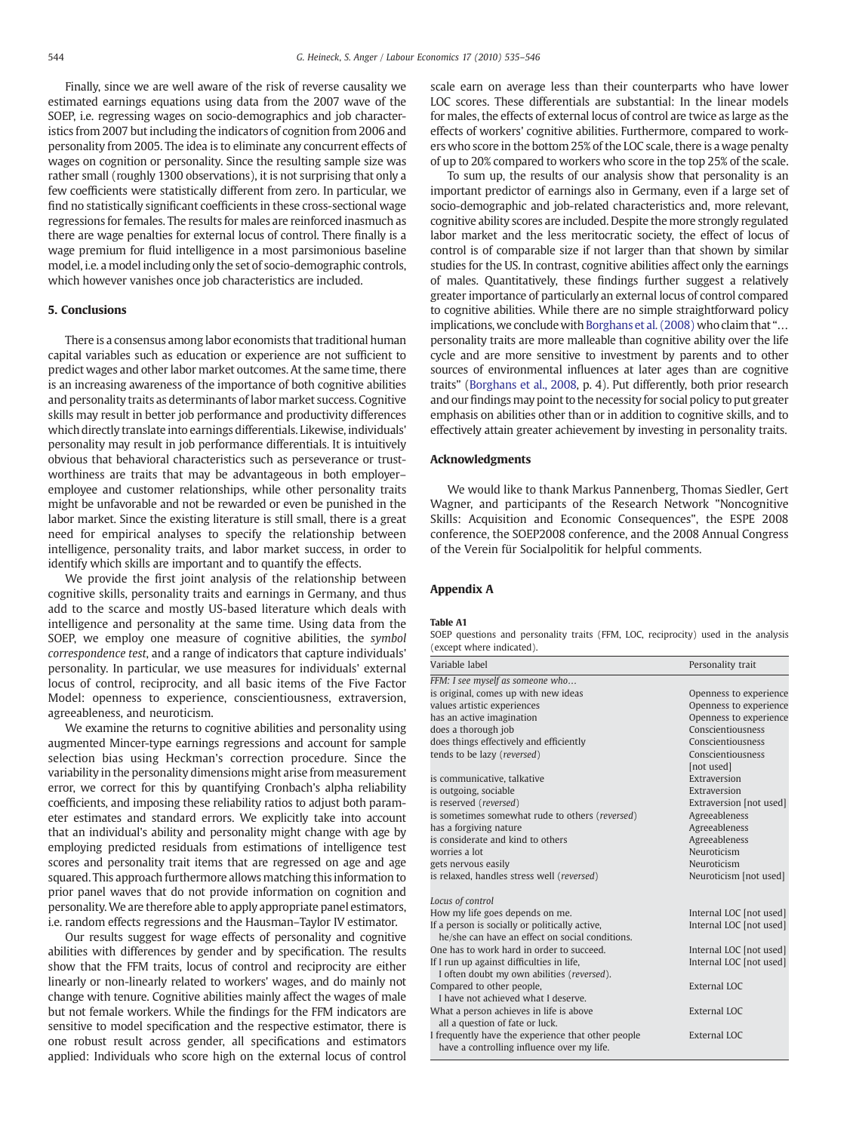<span id="page-9-0"></span>Finally, since we are well aware of the risk of reverse causality we estimated earnings equations using data from the 2007 wave of the SOEP, i.e. regressing wages on socio-demographics and job characteristics from 2007 but including the indicators of cognition from 2006 and personality from 2005. The idea is to eliminate any concurrent effects of wages on cognition or personality. Since the resulting sample size was rather small (roughly 1300 observations), it is not surprising that only a few coefficients were statistically different from zero. In particular, we find no statistically significant coefficients in these cross-sectional wage regressions for females. The results for males are reinforced inasmuch as there are wage penalties for external locus of control. There finally is a wage premium for fluid intelligence in a most parsimonious baseline model, i.e. a model including only the set of socio-demographic controls, which however vanishes once job characteristics are included.

# 5. Conclusions

There is a consensus among labor economists that traditional human capital variables such as education or experience are not sufficient to predict wages and other labor market outcomes. At the same time, there is an increasing awareness of the importance of both cognitive abilities and personality traits as determinants of labor market success. Cognitive skills may result in better job performance and productivity differences which directly translate into earnings differentials. Likewise, individuals' personality may result in job performance differentials. It is intuitively obvious that behavioral characteristics such as perseverance or trustworthiness are traits that may be advantageous in both employer– employee and customer relationships, while other personality traits might be unfavorable and not be rewarded or even be punished in the labor market. Since the existing literature is still small, there is a great need for empirical analyses to specify the relationship between intelligence, personality traits, and labor market success, in order to identify which skills are important and to quantify the effects.

We provide the first joint analysis of the relationship between cognitive skills, personality traits and earnings in Germany, and thus add to the scarce and mostly US-based literature which deals with intelligence and personality at the same time. Using data from the SOEP, we employ one measure of cognitive abilities, the *symbol correspondence test*, and a range of indicators that capture individuals' personality. In particular, we use measures for individuals' external locus of control, reciprocity, and all basic items of the Five Factor Model: openness to experience, conscientiousness, extraversion, agreeableness, and neuroticism.

We examine the returns to cognitive abilities and personality using augmented Mincer-type earnings regressions and account for sample selection bias using Heckman's correction procedure. Since the variability in the personality dimensions might arise from measurement error, we correct for this by quantifying Cronbach's alpha reliability coefficients, and imposing these reliability ratios to adjust both parameter estimates and standard errors. We explicitly take into account that an individual's ability and personality might change with age by employing predicted residuals from estimations of intelligence test scores and personality trait items that are regressed on age and age squared. This approach furthermore allows matching this information to prior panel waves that do not provide information on cognition and personality.We are therefore able to apply appropriate panel estimators, i.e. random effects regressions and the Hausman–Taylor IV estimator.

Our results suggest for wage effects of personality and cognitive abilities with differences by gender and by specification. The results show that the FFM traits, locus of control and reciprocity are either linearly or non-linearly related to workers' wages, and do mainly not change with tenure. Cognitive abilities mainly affect the wages of male but not female workers. While the findings for the FFM indicators are sensitive to model specification and the respective estimator, there is one robust result across gender, all specifications and estimators applied: Individuals who score high on the external locus of control scale earn on average less than their counterparts who have lower LOC scores. These differentials are substantial: In the linear models for males, the effects of external locus of control are twice as large as the effects of workers' cognitive abilities. Furthermore, compared to workers who score in the bottom 25% of the LOC scale, there is a wage penalty of up to 20% compared to workers who score in the top 25% of the scale.

To sum up, the results of our analysis show that personality is an important predictor of earnings also in Germany, even if a large set of socio-demographic and job-related characteristics and, more relevant, cognitive ability scores are included. Despite the more strongly regulated labor market and the less meritocratic society, the effect of locus of control is of comparable size if not larger than that shown by similar studies for the US. In contrast, cognitive abilities affect only the earnings of males. Quantitatively, these findings further suggest a relatively greater importance of particularly an external locus of control compared to cognitive abilities. While there are no simple straightforward policy implications, we conclude with [Borghans et al. \(2008\)](#page-10-0) who claim that "… personality traits are more malleable than cognitive ability over the life cycle and are more sensitive to investment by parents and to other sources of environmental influences at later ages than are cognitive traits" [\(Borghans et al., 2008](#page-10-0), p. 4). Put differently, both prior research and our findings may point to the necessity for social policy to put greater emphasis on abilities other than or in addition to cognitive skills, and to effectively attain greater achievement by investing in personality traits.

# Acknowledgments

We would like to thank Markus Pannenberg, Thomas Siedler, Gert Wagner, and participants of the Research Network "Noncognitive Skills: Acquisition and Economic Consequences", the ESPE 2008 conference, the SOEP2008 conference, and the 2008 Annual Congress of the Verein für Socialpolitik for helpful comments.

# Appendix A

#### Table A1

SOEP questions and personality traits (FFM, LOC, reciprocity) used in the analysis (except where indicated).

| Variable label                                                                                   | Personality trait       |
|--------------------------------------------------------------------------------------------------|-------------------------|
| FFM: I see myself as someone who                                                                 |                         |
| is original, comes up with new ideas                                                             | Openness to experience  |
| values artistic experiences                                                                      | Openness to experience  |
| has an active imagination                                                                        | Openness to experience  |
| does a thorough job                                                                              | Conscientiousness       |
| does things effectively and efficiently                                                          | Conscientiousness       |
| tends to be lazy (reversed)                                                                      | Conscientiousness       |
|                                                                                                  | [not used]              |
| is communicative, talkative                                                                      | Extraversion            |
| is outgoing, sociable                                                                            | Extraversion            |
| is reserved (reversed)                                                                           | Extraversion [not used] |
| is sometimes somewhat rude to others (reversed)                                                  | Agreeableness           |
| has a forgiving nature                                                                           | Agreeableness           |
| is considerate and kind to others                                                                | Agreeableness           |
| worries a lot                                                                                    | Neuroticism             |
| gets nervous easily                                                                              | Neuroticism             |
| is relaxed, handles stress well (reversed)                                                       | Neuroticism [not used]  |
| Locus of control                                                                                 |                         |
| How my life goes depends on me.                                                                  | Internal LOC [not used] |
| If a person is socially or politically active,                                                   | Internal LOC [not used] |
| he/she can have an effect on social conditions.                                                  |                         |
| One has to work hard in order to succeed.                                                        | Internal LOC [not used] |
| If I run up against difficulties in life,                                                        | Internal LOC [not used] |
| I often doubt my own abilities (reversed).                                                       |                         |
| Compared to other people,                                                                        | External LOC            |
| I have not achieved what I deserve.                                                              |                         |
| What a person achieves in life is above                                                          | External LOC            |
| all a question of fate or luck.                                                                  |                         |
| I frequently have the experience that other people<br>have a controlling influence over my life. | External LOC            |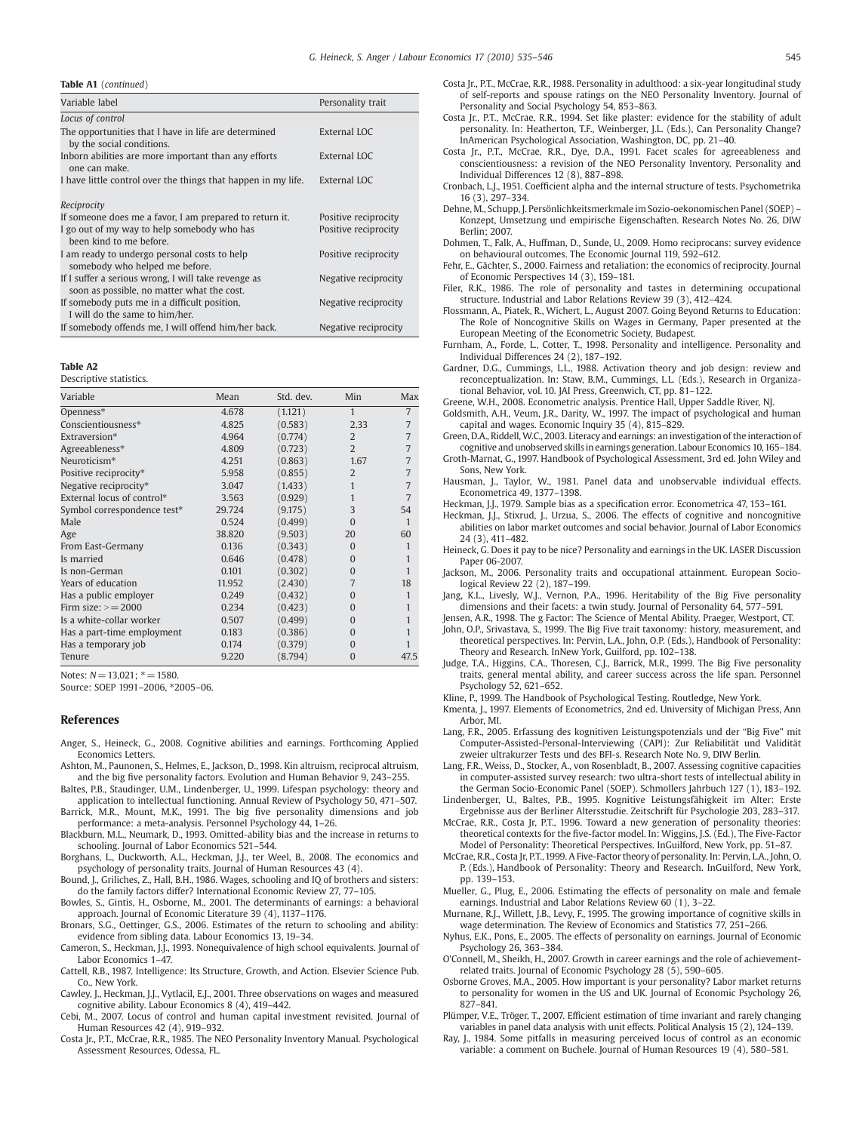#### <span id="page-10-0"></span>Table A1 (*continued*) Table A1 (*continued*

| Variable label                                                                                    | Personality trait    |
|---------------------------------------------------------------------------------------------------|----------------------|
| Locus of control                                                                                  |                      |
| The opportunities that I have in life are determined<br>by the social conditions.                 | External LOC         |
| Inborn abilities are more important than any efforts<br>one can make.                             | External LOC         |
| I have little control over the things that happen in my life.                                     | External LOC         |
| Reciprocity                                                                                       |                      |
| If someone does me a favor, I am prepared to return it.                                           | Positive reciprocity |
| I go out of my way to help somebody who has<br>been kind to me before.                            | Positive reciprocity |
| I am ready to undergo personal costs to help<br>somebody who helped me before.                    | Positive reciprocity |
| If I suffer a serious wrong, I will take revenge as<br>soon as possible, no matter what the cost. | Negative reciprocity |
| If somebody puts me in a difficult position,<br>I will do the same to him/her.                    | Negative reciprocity |
| If somebody offends me, I will offend him/her back.                                               | Negative reciprocity |

Table A2

Descriptive statistics.

| Variable                    | Mean   | Std. dev. | Min            | Max            |
|-----------------------------|--------|-----------|----------------|----------------|
| Openness*                   | 4.678  | (1.121)   | $\mathbf{1}$   | 7              |
| Conscientiousness*          | 4.825  | (0.583)   | 2.33           | $\overline{7}$ |
| Extraversion*               | 4.964  | (0.774)   | 2              | $\overline{7}$ |
| Agreeableness*              | 4.809  | (0.723)   | $\overline{2}$ | $\overline{7}$ |
| Neuroticism*                | 4.251  | (0.863)   | 1.67           | $\overline{7}$ |
| Positive reciprocity*       | 5.958  | (0.855)   | $\overline{2}$ | $\overline{7}$ |
| Negative reciprocity*       | 3.047  | (1.433)   |                | $\overline{7}$ |
| External locus of control*  | 3.563  | (0.929)   |                | $\overline{7}$ |
| Symbol correspondence test* | 29.724 | (9.175)   | 3              | 54             |
| Male                        | 0.524  | (0.499)   | $\Omega$       | $\mathbf{1}$   |
| Age                         | 38.820 | (9.503)   | 20             | 60             |
| From East-Germany           | 0.136  | (0.343)   | $\Omega$       | 1              |
| Is married                  | 0.646  | (0.478)   | $\Omega$       | 1              |
| Is non-German               | 0.101  | (0.302)   | $\Omega$       | 1              |
| Years of education          | 11.952 | (2.430)   | 7              | 18             |
| Has a public employer       | 0.249  | (0.432)   | $\Omega$       | 1              |
| Firm size: $>=$ 2000        | 0.234  | (0.423)   | $\Omega$       | 1              |
| Is a white-collar worker    | 0.507  | (0.499)   | $\Omega$       | 1              |
| Has a part-time employment  | 0.183  | (0.386)   | $\Omega$       | 1              |
| Has a temporary job         | 0.174  | (0.379)   | $\Omega$       |                |
| Tenure                      | 9.220  | (8.794)   | $\Omega$       | 47.5           |

Notes:  $N = 13.021$ ;  $* = 1580$ 

Source: SOEP 1991-2006, \*2005-06.

#### References

- Anger, S., Heineck, G., 2008. Cognitive abilities and earnings. Forthcoming Applied Economics Letters.
- Ashton, M., Paunonen, S., Helmes, E., Jackson, D., 1998. Kin altruism, reciprocal altruism, and the big five personality factors. Evolution and Human Behavior 9, 243–255.
- Baltes, P.B., Staudinger, U.M., Lindenberger, U., 1999. Lifespan psychology: theory and application to intellectual functioning. Annual Review of Psychology 50, 471–507.
- Barrick, M.R., Mount, M.K., 1991. The big five personality dimensions and job performance: a meta-analysis. Personnel Psychology 44, 1–26.
- Blackburn, M.L., Neumark, D., 1993. Omitted-ability bias and the increase in returns to schooling. Journal of Labor Economics 521–544.
- Borghans, L., Duckworth, A.L., Heckman, J.J., ter Weel, B., 2008. The economics and psychology of personality traits. Journal of Human Resources 43 (4).
- Bound, J., Griliches, Z., Hall, B.H., 1986. Wages, schooling and IQ of brothers and sisters: do the family factors differ? International Economic Review 27, 77–105.
- Bowles, S., Gintis, H., Osborne, M., 2001. The determinants of earnings: a behavioral approach. Journal of Economic Literature 39 (4), 1137–1176.
- Bronars, S.G., Oettinger, G.S., 2006. Estimates of the return to schooling and ability:
- evidence from sibling data. Labour Economics 13, 19–34. Cameron, S., Heckman, J.J., 1993. Nonequivalence of high school equivalents. Journal of Labor Economics 1–47.
- Cattell, R.B., 1987. Intelligence: Its Structure, Growth, and Action. Elsevier Science Pub. Co., New York.
- Cawley, J., Heckman, J.J., Vytlacil, E.J., 2001. Three observations on wages and measured cognitive ability. Labour Economics 8 (4), 419–442.
- Cebi, M., 2007. Locus of control and human capital investment revisited. Journal of Human Resources 42 (4), 919–932.
- Costa Jr., P.T., McCrae, R.R., 1985. The NEO Personality Inventory Manual. Psychological Assessment Resources, Odessa, FL.
- Costa Jr., P.T., McCrae, R.R., 1988. Personality in adulthood: a six-year longitudinal study of self-reports and spouse ratings on the NEO Personality Inventory. Journal of Personality and Social Psychology 54, 853–863.
- Costa Jr., P.T., McCrae, R.R., 1994. Set like plaster: evidence for the stability of adult personality. In: Heatherton, T.F., Weinberger, J.L. (Eds.), Can Personality Change? InAmerican Psychological Association, Washington, DC, pp. 21–40.
- Costa Jr., P.T., McCrae, R.R., Dye, D.A., 1991. Facet scales for agreeableness and conscientiousness: a revision of the NEO Personality Inventory. Personality and Individual Differences 12 (8), 887–898.
- Cronbach, L.J., 1951. Coefficient alpha and the internal structure of tests. Psychometrika 16 (3), 297–334.
- Dehne, M., Schupp, J. Persönlichkeitsmerkmale im Sozio-oekonomischen Panel (SOEP) Konzept, Umsetzung und empirische Eigenschaften. Research Notes No. 26, DIW Berlin; 2007.
- Dohmen, T., Falk, A., Huffman, D., Sunde, U., 2009. Homo reciprocans: survey evidence on behavioural outcomes. The Economic Journal 119, 592–612.
- Fehr, E., Gächter, S., 2000. Fairness and retaliation: the economics of reciprocity. Journal of Economic Perspectives 14 (3), 159–181.
- Filer, R.K., 1986. The role of personality and tastes in determining occupational structure. Industrial and Labor Relations Review 39 (3), 412–424.
- Flossmann, A., Piatek, R., Wichert, L., August 2007. Going Beyond Returns to Education: The Role of Noncognitive Skills on Wages in Germany, Paper presented at the European Meeting of the Econometric Society, Budapest.
- Furnham, A., Forde, L., Cotter, T., 1998. Personality and intelligence. Personality and Individual Differences 24 (2), 187–192.
- Gardner, D.G., Cummings, L.L., 1988. Activation theory and job design: review and reconceptualization. In: Staw, B.M., Cummings, L.L. (Eds.), Research in Organizational Behavior, vol. 10. JAI Press, Greenwich, CT, pp. 81–122.
- Greene, W.H., 2008. Econometric analysis. Prentice Hall, Upper Saddle River, NJ.
- Goldsmith, A.H., Veum, J.R., Darity, W., 1997. The impact of psychological and human capital and wages. Economic Inquiry 35 (4), 815–829.
- Green, D.A., Riddell, W.C., 2003. Literacy and earnings: an investigation of the interaction of cognitive and unobserved skillsin earnings generation. Labour Economics 10,165–184.

Groth-Marnat, G., 1997. Handbook of Psychological Assessment, 3rd ed. John Wiley and Sons, New York.

- Hausman, J., Taylor, W., 1981. Panel data and unobservable individual effects. Econometrica 49, 1377–1398.
- Heckman, J.J., 1979. Sample bias as a specification error. Econometrica 47, 153–161.
- Heckman, J.J., Stixrud, J., Urzua, S., 2006. The effects of cognitive and noncognitive abilities on labor market outcomes and social behavior. Journal of Labor Economics 24 (3), 411–482.
- Heineck, G. Does it pay to be nice? Personality and earnings in the UK. LASER Discussion Paper 06-2007.
- Jackson, M., 2006. Personality traits and occupational attainment. European Sociological Review 22 (2), 187–199.
- Jang, K.L., Livesly, W.J., Vernon, P.A., 1996. Heritability of the Big Five personality dimensions and their facets: a twin study. Journal of Personality 64, 577–591.
- Jensen, A.R., 1998. The g Factor: The Science of Mental Ability. Praeger, Westport, CT.
- John, O.P., Srivastava, S., 1999. The Big Five trait taxonomy: history, measurement, and theoretical perspectives. In: Pervin, L.A., John, O.P. (Eds.), Handbook of Personality: Theory and Research. InNew York, Guilford, pp. 102–138.
- Judge, T.A., Higgins, C.A., Thoresen, C.J., Barrick, M.R., 1999. The Big Five personality traits, general mental ability, and career success across the life span. Personnel Psychology 52, 621–652.
- Kline, P., 1999. The Handbook of Psychological Testing. Routledge, New York.
- Kmenta, J., 1997. Elements of Econometrics, 2nd ed. University of Michigan Press, Ann Arbor, MI.
- Lang, F.R., 2005. Erfassung des kognitiven Leistungspotenzials und der "Big Five" mit Computer-Assisted-Personal-Interviewing (CAPI): Zur Reliabilität und Validität zweier ultrakurzer Tests und des BFI-s. Research Note No. 9, DIW Berlin.
- Lang, F.R., Weiss, D., Stocker, A., von Rosenbladt, B., 2007. Assessing cognitive capacities in computer-assisted survey research: two ultra-short tests of intellectual ability in the German Socio-Economic Panel (SOEP). Schmollers Jahrbuch 127 (1), 183–192.
- Lindenberger, U., Baltes, P.B., 1995. Kognitive Leistungsfähigkeit im Alter: Erste Ergebnisse aus der Berliner Altersstudie. Zeitschrift für Psychologie 203, 283–317.
- McCrae, R.R., Costa Jr, P.T., 1996. Toward a new generation of personality theories: theoretical contexts for the five-factor model. In: Wiggins, J.S. (Ed.), The Five-Factor Model of Personality: Theoretical Perspectives. InGuilford, New York, pp. 51–87.
- McCrae, R.R., Costa Jr, P.T.,1999. A Five-Factor theory of personality. In: Pervin, L.A., John, O. P. (Eds.), Handbook of Personality: Theory and Research. InGuilford, New York, pp. 139–153.
- Mueller, G., Plug, E., 2006. Estimating the effects of personality on male and female earnings. Industrial and Labor Relations Review 60 (1), 3–22.
- Murnane, R.J., Willett, J.B., Levy, F., 1995. The growing importance of cognitive skills in wage determination. The Review of Economics and Statistics 77, 251–266.
- Nyhus, E.K., Pons, E., 2005. The effects of personality on earnings. Journal of Economic Psychology 26, 363–384.
- O'Connell, M., Sheikh, H., 2007. Growth in career earnings and the role of achievementrelated traits. Journal of Economic Psychology 28 (5), 590–605.
- Osborne Groves, M.A., 2005. How important is your personality? Labor market returns to personality for women in the US and UK. Journal of Economic Psychology 26, 827–841.
- Plümper, V.E., Tröger, T., 2007. Efficient estimation of time invariant and rarely changing variables in panel data analysis with unit effects. Political Analysis 15 (2), 124–139.
- Ray, J., 1984. Some pitfalls in measuring perceived locus of control as an economic variable: a comment on Buchele. Journal of Human Resources 19 (4), 580–581.